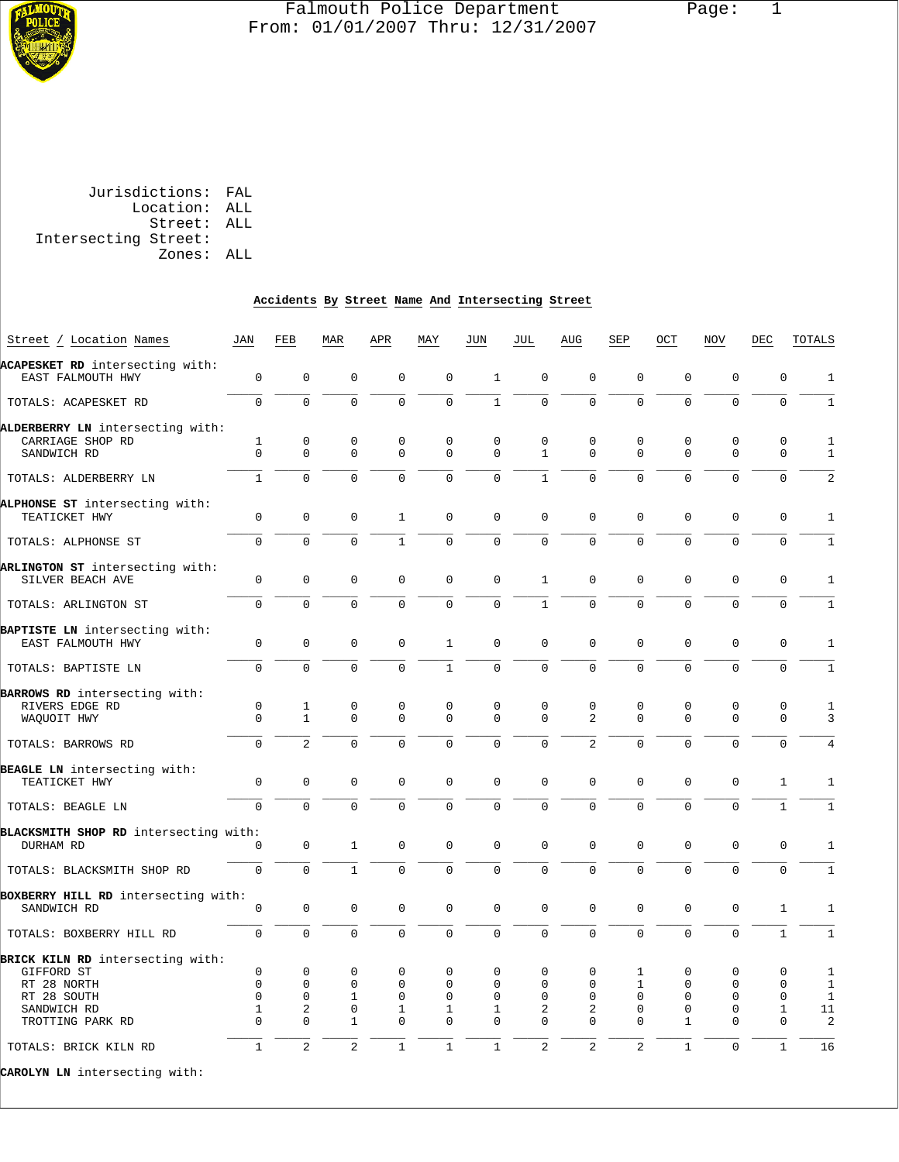

# Falmouth Police Department Page: 1 From: 01/01/2007 Thru: 12/31/2007

 Jurisdictions: FAL Location: ALL Street: ALL Intersecting Street:

Zones: ALL

#### **Accidents By Street Name And Intersecting Street**

| Street / Location Names               | JAN          | FEB            | MAR            | APR          | MAY          | JUN          | JUL            | AUG            | SEP            | OCT          | <b>NOV</b>     | DEC            | TOTALS         |
|---------------------------------------|--------------|----------------|----------------|--------------|--------------|--------------|----------------|----------------|----------------|--------------|----------------|----------------|----------------|
| ACAPESKET RD intersecting with:       |              |                |                |              |              |              |                |                |                |              |                |                |                |
| EAST FALMOUTH HWY                     | $\mathbf 0$  | $\mathbf 0$    | $\mathbf 0$    | $\mathbf 0$  | $\mathbf 0$  | $\mathbf{1}$ | $\mathbf 0$    | $\overline{0}$ | $\mathbf 0$    | 0            | $\mathbf 0$    | $\mathbf 0$    | $1\,$          |
| TOTALS: ACAPESKET RD                  | $\mathbf 0$  | $\Omega$       | $\Omega$       | $\Omega$     | $\mathbf 0$  | $\mathbf{1}$ | $\Omega$       | $\Omega$       | $\Omega$       | $\Omega$     | $\Omega$       | $\overline{0}$ | $\mathbf{1}$   |
| ALDERBERRY LN intersecting with:      |              |                |                |              |              |              |                |                |                |              |                |                |                |
| CARRIAGE SHOP RD                      | 1            | $\mathsf 0$    | $\mathbf 0$    | $\mathbf 0$  | $\mathbf 0$  | $\mathbf 0$  | $\mathbf 0$    | 0              | $\mathbf 0$    | 0            | $\mathbf{0}$   | $\mathbf 0$    | $\mathbf{1}$   |
| SANDWICH RD                           | $\Omega$     | $\Omega$       | $\Omega$       | $\Omega$     | $\Omega$     | $\Omega$     | $\mathbf{1}$   | $\Omega$       | $\Omega$       | $\Omega$     | $\Omega$       | $\Omega$       | 1              |
| TOTALS: ALDERBERRY LN                 | $\mathbf{1}$ | $\Omega$       | $\Omega$       | $\Omega$     | $\Omega$     | $\Omega$     | $\mathbf{1}$   | $\Omega$       | $\Omega$       | $\Omega$     | $\Omega$       | $\Omega$       | $\overline{2}$ |
| ALPHONSE ST intersecting with:        |              |                |                |              |              |              |                |                |                |              |                |                |                |
| TEATICKET HWY                         | $\mathbf 0$  | $\mathbf 0$    | $\mathbf 0$    | $\mathbf{1}$ | $\mathbf 0$  | $\mathbf 0$  | $\mathbf 0$    | 0              | 0              | 0            | 0              | $\mathbf 0$    | $1\,$          |
| TOTALS: ALPHONSE ST                   | $\Omega$     | $\Omega$       | $\Omega$       | $\mathbf{1}$ | $\Omega$     | $\mathbf 0$  | $\Omega$       | $\overline{0}$ | $\Omega$       | $\Omega$     | $\Omega$       | $\mathbf 0$    | $\mathbf{1}$   |
| ARLINGTON ST intersecting with:       |              |                |                |              |              |              |                |                |                |              |                |                |                |
| SILVER BEACH AVE                      | 0            | $\mathbf 0$    | $\mathbf 0$    | $\mathsf 0$  | $\mathbf 0$  | $\mathsf 0$  | $\mathbf{1}$   | 0              | 0              | $\mathsf 0$  | $\mathsf 0$    | $\mathbf 0$    | $\mathbf{1}$   |
| TOTALS: ARLINGTON ST                  | 0            | $\mathbf 0$    | $\mathbf 0$    | $\mathbf 0$  | $\mathsf 0$  | $\mathsf 0$  | $\mathbf{1}$   | 0              | $\mathbf 0$    | $\mathbf 0$  | $\mathbf 0$    | $\mathsf 0$    | 1              |
| BAPTISTE LN intersecting with:        |              |                |                |              |              |              |                |                |                |              |                |                |                |
| EAST FALMOUTH HWY                     | $\Omega$     | $\Omega$       | $\Omega$       | $\Omega$     | $\mathbf{1}$ | $\Omega$     | $\Omega$       | $\Omega$       | $\Omega$       | $\Omega$     | $\Omega$       | $\mathbf 0$    | $\mathbf{1}$   |
| TOTALS: BAPTISTE LN                   | $\Omega$     | $\Omega$       | $\Omega$       | $\Omega$     | $\mathbf{1}$ | $\mathbf 0$  | $\Omega$       | $\Omega$       | $\Omega$       | $\Omega$     | $\Omega$       | $\Omega$       | 1              |
| BARROWS RD intersecting with:         |              |                |                |              |              |              |                |                |                |              |                |                |                |
| RIVERS EDGE RD                        | $\mathbf 0$  | $\mathbf{1}$   | $\mathbf 0$    | $\mathbf 0$  | $\mathbf 0$  | $\mathbf 0$  | $\Omega$       | 0              | $\mathbf 0$    | $\mathbf 0$  | $\mathbf 0$    | $\mathbf 0$    | $\mathbf{1}$   |
| WAQUOIT HWY                           | 0            | $\mathbf{1}$   | $\mathbf 0$    | $\mathbf 0$  | $\mathbf 0$  | $\mathbf 0$  | $\mathbf 0$    | $\overline{2}$ | $\mathbf 0$    | 0            | $\mathbf{0}$   | $\mathbf 0$    | 3              |
| TOTALS: BARROWS RD                    | 0            | $\overline{a}$ | $\mathbf 0$    | $\mathbf 0$  | $\mathbf 0$  | $\mathsf 0$  | $\mathbf 0$    | $\overline{a}$ | $\mathbf 0$    | 0            | 0              | $\mathbf 0$    | 4              |
| BEAGLE LN intersecting with:          |              |                |                |              |              |              |                |                |                |              |                |                |                |
|                                       |              |                | $\Omega$       | $\Omega$     |              |              | $\Omega$       | $\Omega$       | $\Omega$       | $\Omega$     | $\Omega$       |                |                |
| TEATICKET HWY                         | $\mathbf 0$  | $\mathbf{0}$   |                |              | $\mathbf 0$  | $\mathbf 0$  |                |                |                |              |                | 1              | $\mathbf{1}$   |
| TOTALS: BEAGLE LN                     | $\Omega$     | $\Omega$       | $\Omega$       | $\Omega$     | $\Omega$     | $\mathbf 0$  | $\Omega$       | 0              | $\Omega$       | $\mathbf 0$  | $\Omega$       | $\mathbf{1}$   | 1              |
| BLACKSMITH SHOP RD intersecting with: |              |                |                |              |              |              |                |                |                |              |                |                |                |
| DURHAM RD                             | $\mathbf 0$  | $\mathbf 0$    | $\mathbf{1}$   | $\mathbf 0$  | $\mathbf 0$  | $\mathbf 0$  | $\mathbf 0$    | 0              | $\mathbf 0$    | $\mathbf 0$  | $\mathbf 0$    | $\mathbf 0$    | $\mathbf{1}$   |
| TOTALS: BLACKSMITH SHOP RD            | 0            | $\mathbf 0$    | $\mathbf{1}$   | $\mathbf 0$  | $\mathbf 0$  | $\mathbf{0}$ | $\Omega$       | $\mathbf 0$    | $\Omega$       | $\mathbf 0$  | $\overline{0}$ | $\mathbf 0$    | $1\,$          |
| BOXBERRY HILL RD intersecting with:   |              |                |                |              |              |              |                |                |                |              |                |                |                |
| SANDWICH RD                           | $\mathsf 0$  | $\mathsf 0$    | $\mathbf 0$    | $\mathbf 0$  | $\mathbf 0$  | $\mathbf 0$  | $\mathbf 0$    | 0              | $\mathbf 0$    | 0            | $\mathbf{0}$   | $\mathbf{1}$   | $\mathbf{1}$   |
| TOTALS: BOXBERRY HILL RD              | 0            | $\mathbf 0$    | $\mathbf 0$    | $\mathsf{O}$ | $\mathbf 0$  | $\mathbf 0$  | $\mathbf 0$    | $\overline{0}$ | $\mathbf 0$    | 0            | $\overline{0}$ | $\mathbf{1}$   | $1\,$          |
| BRICK KILN RD intersecting with:      |              |                |                |              |              |              |                |                |                |              |                |                |                |
| GIFFORD ST                            | $\mathbf 0$  | $\mathbf 0$    | 0              | 0            | $\mathbf 0$  | 0            | $\Omega$       | 0              | 1              | 0            | $\Omega$       | 0              | 1              |
| RT 28 NORTH                           | $\mathbf 0$  | $\mathbf 0$    | $\mathbf 0$    | $\mathbf 0$  | $\Omega$     | $\Omega$     | $\Omega$       | 0              | $\mathbf{1}$   | 0            | $\Omega$       | $\mathbf 0$    | 1              |
| RT 28 SOUTH                           | $\Omega$     | $\Omega$       | $\mathbf{1}$   | $\Omega$     | $\Omega$     | $\Omega$     | $\Omega$       | $\Omega$       | $\Omega$       | $\Omega$     | $\Omega$       | $\Omega$       | $\mathbf{1}$   |
| SANDWICH RD                           | 1            | $\mathbf{2}$   | $\mathsf 0$    | 1            | 1            | 1            | $\overline{2}$ | 2              | 0              | 0            | 0              | 1              | 11             |
|                                       | $\Omega$     | $\Omega$       | 1              | $\Omega$     | $\Omega$     | $\Omega$     | $\Omega$       | $\Omega$       | $\Omega$       | 1            | $\Omega$       | $\Omega$       |                |
| TROTTING PARK RD                      |              |                |                |              |              |              |                |                |                |              |                |                | 2              |
| TOTALS: BRICK KILN RD                 | $\mathbf{1}$ | 2              | $\overline{a}$ | $\mathbf{1}$ | $\mathbf{1}$ | $\mathbf{1}$ | $\overline{2}$ | $\overline{2}$ | $\overline{a}$ | $\mathbf{1}$ | $\Omega$       | $\mathbf{1}$   | 16             |
|                                       |              |                |                |              |              |              |                |                |                |              |                |                |                |

**CAROLYN LN** intersecting with: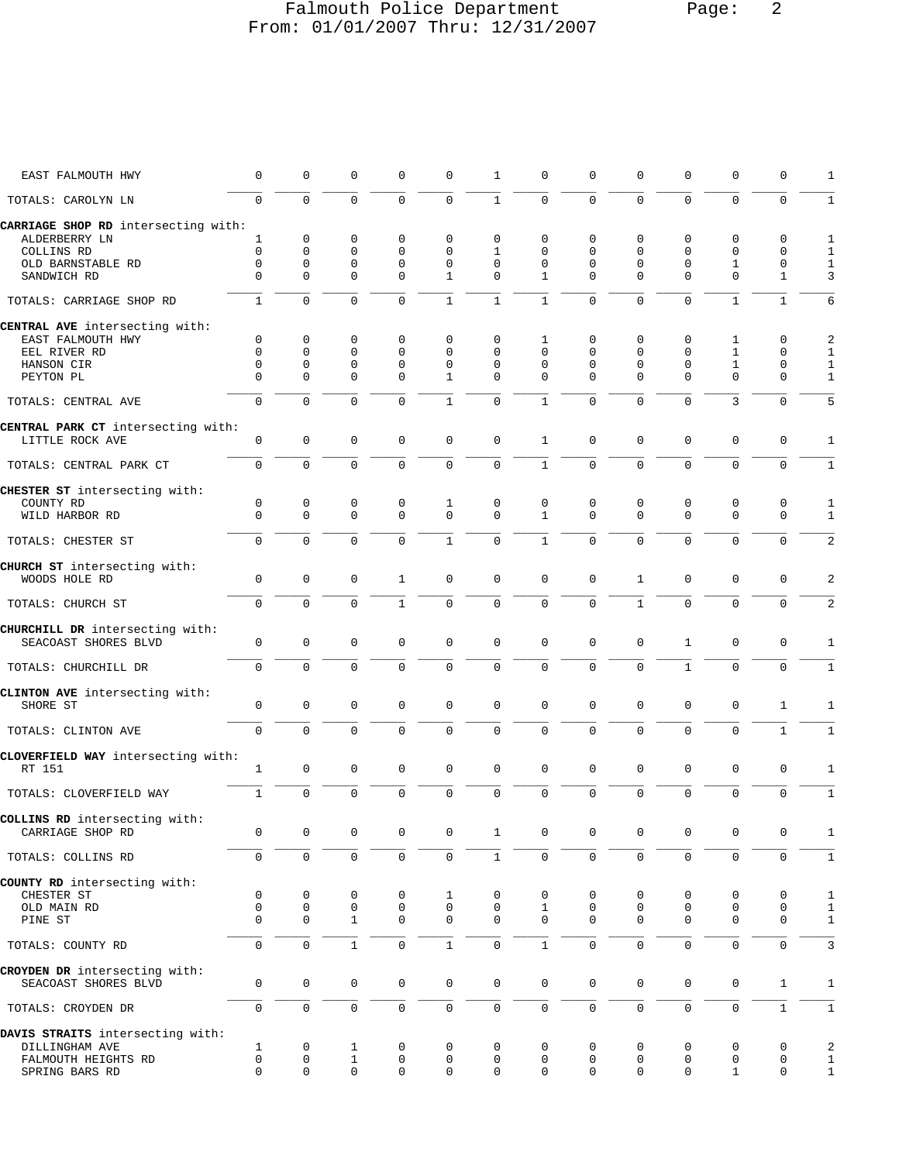# Falmouth Police Department Page: 2 From: 01/01/2007 Thru: 12/31/2007

| EAST FALMOUTH HWY                                     | $\mathbf 0$   | 0                        | $\mathbf 0$             | $\mathbf 0$             | 0                 | 1                    | 0                        | $\Omega$             | $\Omega$             | $\Omega$             | 0                        | 0                 | 1                 |
|-------------------------------------------------------|---------------|--------------------------|-------------------------|-------------------------|-------------------|----------------------|--------------------------|----------------------|----------------------|----------------------|--------------------------|-------------------|-------------------|
| TOTALS: CAROLYN LN                                    | $\Omega$      | $\mathbf 0$              | $\Omega$                | $\Omega$                | $\Omega$          | $\mathbf{1}$         | $\mathbf 0$              | $\mathbf 0$          | $\Omega$             | $\Omega$             | $\Omega$                 | $\Omega$          | $\mathbf{1}$      |
| CARRIAGE SHOP RD intersecting with:<br>ALDERBERRY LN  | 1             | 0                        | 0                       | 0                       | 0                 | 0                    | 0                        | $\mathbf 0$          | 0                    | 0                    | 0                        | 0                 |                   |
|                                                       |               |                          |                         |                         |                   |                      |                          |                      |                      |                      |                          |                   | 1                 |
| COLLINS RD                                            | $\Omega$      | $\mathbf{0}$             | $\mathbf 0$             | $\mathbf 0$             | $\mathbf 0$       | $\mathbf{1}$         | $\Omega$                 | $\Omega$             | $\Omega$             | $\Omega$             | 0                        | $\mathbf 0$       | $\mathbf{1}$      |
| OLD BARNSTABLE RD<br>SANDWICH RD                      | 0<br>$\Omega$ | $\mathbf{0}$<br>$\Omega$ | $\mathbf 0$<br>$\Omega$ | $\mathbf 0$<br>$\Omega$ | $\mathbf{0}$<br>1 | $\Omega$<br>$\Omega$ | $\Omega$<br>$\mathbf{1}$ | $\Omega$<br>$\Omega$ | $\Omega$<br>$\Omega$ | $\Omega$<br>$\Omega$ | $\mathbf{1}$<br>$\Omega$ | 0<br>$\mathbf{1}$ | $\mathbf{1}$<br>3 |
| TOTALS: CARRIAGE SHOP RD                              | $\mathbf{1}$  | $\Omega$                 | $\Omega$                | $\Omega$                | $\mathbf{1}$      | $\mathbf{1}$         | $\mathbf{1}$             | $\Omega$             | $\Omega$             | $\Omega$             | $\mathbf{1}$             | $\mathbf{1}$      | 6                 |
| CENTRAL AVE intersecting with:                        |               |                          |                         |                         |                   |                      |                          |                      |                      |                      |                          |                   |                   |
| EAST FALMOUTH HWY                                     | 0             | 0                        | 0                       | $\mathbf 0$             | 0                 | 0                    | 1                        | 0                    | 0                    | 0                    | 1                        | 0                 | 2                 |
| EEL RIVER RD                                          | $\Omega$      | $\Omega$                 | $\mathbf 0$             | $\mathbf 0$             | $\Omega$          | $\Omega$             | $\Omega$                 | $\Omega$             | $\Omega$             | $\Omega$             | $\mathbf{1}$             | 0                 | $\mathbf{1}$      |
| HANSON CIR                                            | $\Omega$      | $\mathbf{0}$             | $\mathbf 0$             | $\mathbf 0$             | $\mathbf 0$       | 0                    | $\Omega$                 | $\Omega$             | $\Omega$             | $\Omega$             | $\mathbf{1}$             | 0                 | $1\,$             |
| PEYTON PL                                             | $\Omega$      | $\Omega$                 | $\Omega$                | $\Omega$                | $\mathbf{1}$      | $\mathbf 0$          | $\Omega$                 | $\Omega$             | $\Omega$             | $\Omega$             | $\Omega$                 | $\Omega$          | $\mathbf{1}$      |
| TOTALS: CENTRAL AVE                                   | $\Omega$      | $\Omega$                 | $\Omega$                | $\Omega$                | 1                 | $\Omega$             | 1                        | $\Omega$             | $\Omega$             | $\Omega$             | 3                        | 0                 | 5                 |
| CENTRAL PARK CT intersecting with:<br>LITTLE ROCK AVE | 0             | $\mathbf 0$              | $\mathbf 0$             | $\mathbf 0$             | $\mathbf 0$       | $\mathbf 0$          | $\mathbf{1}$             | $\mathbf{0}$         | $\mathbf 0$          | $\mathbf 0$          | 0                        | $\mathbf 0$       | 1                 |
|                                                       | $\Omega$      | $\Omega$                 | $\Omega$                | $\Omega$                | $\Omega$          | $\mathbf 0$          | $\mathbf{1}$             | $\mathbf 0$          | $\Omega$             | $\Omega$             | $\Omega$                 | $\mathbf 0$       | $\mathbf{1}$      |
| TOTALS: CENTRAL PARK CT                               |               |                          |                         |                         |                   |                      |                          |                      |                      |                      |                          |                   |                   |
| CHESTER ST intersecting with:                         |               |                          |                         |                         |                   |                      |                          |                      |                      |                      |                          |                   |                   |
| COUNTY RD                                             | 0             | 0                        | 0                       | 0                       | 1                 | 0                    | $\mathbf 0$              | $\mathbf 0$          | 0                    | 0                    | 0                        | 0                 | 1                 |
| WILD HARBOR RD                                        | $\Omega$      | $\Omega$                 | $\mathbf 0$             | $\Omega$                | $\Omega$          | $\Omega$             | $\mathbf{1}$             | $\Omega$             | $\Omega$             | $\Omega$             | $\Omega$                 | $\Omega$          | $\mathbf{1}$      |
| TOTALS: CHESTER ST                                    | $\mathbf{0}$  | $\Omega$                 | $\Omega$                | $\Omega$                | $\mathbf{1}$      | $\Omega$             | $\mathbf{1}$             | $\Omega$             | $\Omega$             | $\Omega$             | $\Omega$                 | $\mathbf 0$       | 2                 |
| CHURCH ST intersecting with:                          |               |                          |                         |                         |                   |                      |                          |                      |                      |                      |                          |                   |                   |
| WOODS HOLE RD                                         | $\Omega$      | 0                        | $\mathbf 0$             | $\mathbf{1}$            | $\Omega$          | $\mathbf 0$          | $\mathbf{0}$             | $\Omega$             | $\mathbf{1}$         | $\Omega$             | 0                        | $\mathbf 0$       | 2                 |
| TOTALS: CHURCH ST                                     | $\Omega$      | $\Omega$                 | $\mathbf 0$             | $\mathbf{1}$            | $\Omega$          | $\mathbf 0$          | $\mathbf 0$              | $\mathbf 0$          | $\mathbf{1}$         | $\Omega$             | $\Omega$                 | $\mathbf 0$       | 2                 |
| CHURCHILL DR intersecting with:                       |               |                          |                         |                         |                   |                      |                          |                      |                      |                      |                          |                   |                   |
| SEACOAST SHORES BLVD                                  | $\mathbf{0}$  | $\mathbf 0$              | $\mathbf 0$             | $\mathbf 0$             | $\mathbf 0$       | $\mathbf 0$          | $\mathbf 0$              | $\mathbf{0}$         | $\mathbf 0$          | $\mathbf{1}$         | $\mathbf{0}$             | $\mathbf 0$       | 1                 |
| TOTALS: CHURCHILL DR                                  | $\Omega$      | $\Omega$                 | $\Omega$                | $\Omega$                | $\Omega$          | $\Omega$             | $\Omega$                 | $\Omega$             | $\Omega$             | $\mathbf{1}$         | $\Omega$                 | $\Omega$          | $\mathbf{1}$      |
| CLINTON AVE intersecting with:                        |               |                          |                         |                         |                   |                      |                          |                      |                      |                      |                          |                   |                   |
| SHORE ST                                              | 0             | $\mathsf 0$              | $\mathsf 0$             | $\mathbf{0}$            | $\mathbf 0$       | 0                    | $\mathbf 0$              | $\mathbf 0$          | $\mathbf 0$          | $\mathsf 0$          | 0                        | $\mathbf{1}$      | 1                 |
| TOTALS: CLINTON AVE                                   | $\mathbf 0$   | $\Omega$                 | $\mathbf 0$             | $\mathbf 0$             | $\Omega$          | $\mathbf 0$          | $\mathbf 0$              | $\mathbf 0$          | $\Omega$             | $\mathsf{O}$         | $\Omega$                 | $\mathbf{1}$      | $\mathbf{1}$      |
| CLOVERFIELD WAY intersecting with:                    |               |                          |                         |                         |                   |                      |                          |                      |                      |                      |                          |                   |                   |
| RT 151                                                | 1             | $\mathsf 0$              | $\mathbf 0$             | $\mathbf 0$             | $\mathbf 0$       | $\mathbf 0$          | $\mathbf 0$              | $\mathbf 0$          | $\Omega$             | 0                    | 0                        | $\mathbf 0$       | 1                 |
| TOTALS: CLOVERFIELD WAY                               | $\mathbf{1}$  | $\mathbf{0}$             | $\mathbf 0$             | $\mathbf{0}$            | $\Omega$          | $\mathbf 0$          | $\mathbf 0$              | $\mathbf 0$          | $\mathbf 0$          | $\mathbf 0$          | 0                        | $\mathbf 0$       | $\mathbf{1}$      |
| COLLINS RD intersecting with:                         |               |                          |                         |                         |                   |                      |                          |                      |                      |                      |                          |                   |                   |
| CARRIAGE SHOP RD                                      | 0             | 0                        | 0                       | 0                       | 0                 | $\mathbf{1}$         | 0                        | 0                    | 0                    | 0                    | 0                        | 0                 | 1                 |
| TOTALS: COLLINS RD                                    | 0             | $\mathsf{O}\xspace$      | 0                       | $\mathbf 0$             | $\mathsf{O}$      | $\mathbf{1}$         | $\mathbf 0$              | $\mathsf{O}\xspace$  | 0                    | $\mathsf{O}$         | 0                        | $\mathsf 0$       | $\overline{1}$    |
| COUNTY RD intersecting with:                          |               |                          |                         |                         |                   |                      |                          |                      |                      |                      |                          |                   |                   |
| CHESTER ST                                            | 0             | 0                        | 0                       | 0                       | 1                 | 0                    | 0                        | 0                    | 0                    | 0                    | 0                        | 0                 | $\mathbf{1}$      |
| OLD MAIN RD                                           | 0             | 0                        | 0                       | 0                       | 0                 | 0                    | 1                        | $\mathbf 0$          | 0                    | 0                    | 0                        | 0                 | $\mathbf{1}$      |
| PINE ST                                               | $\Omega$      | 0                        | $\mathbf 1$             | 0                       | 0                 | 0                    | 0                        | 0                    | $\Omega$             | $\Omega$             | 0                        | 0                 | $\mathbf{1}$      |
| TOTALS: COUNTY RD                                     | 0             | $\mathbf{0}$             | $\mathbf{1}$            | $\mathbf 0$             | $\mathbf{1}$      | $\mathsf{O}$         | $\mathbf{1}$             | $\mathsf 0$          | 0                    | $\mathbf 0$          | 0                        | $\mathbf 0$       | $\mathbf{3}$      |
| CROYDEN DR intersecting with:                         |               |                          |                         |                         |                   |                      |                          |                      |                      |                      |                          |                   |                   |
| SEACOAST SHORES BLVD                                  | 0             | $\mathsf 0$              | 0                       | 0                       | 0                 | 0                    | 0                        | $\mathbf 0$          | 0                    | 0                    | 0                        | $\mathbf{1}$      | $\mathbf{1}$      |
| TOTALS: CROYDEN DR                                    | $\mathbf 0$   | $\mathbf 0$              | $\mathsf{O}\xspace$     | $\mathsf 0$             | $\mathbf 0$       | $\mathsf{O}$         | $\mathbf 0$              | $\mathsf{O}\xspace$  | $\mathbf 0$          | $\mathsf{O}$         | 0                        | $\mathbf{1}$      | $\mathbf{1}$      |
| DAVIS STRAITS intersecting with:                      |               |                          |                         |                         |                   |                      |                          |                      |                      |                      |                          |                   |                   |
| DILLINGHAM AVE                                        | $\mathbf{1}$  | 0                        | 1                       | 0                       | 0                 | 0                    | 0                        | 0                    | 0                    | 0                    | 0                        | 0                 | 2                 |
| FALMOUTH HEIGHTS RD                                   | $\mathbf 0$   | 0                        | $\mathbf 1$             | 0                       | 0                 | 0                    | 0                        | 0                    | 0                    | $\mathsf{O}\xspace$  | 0                        | 0                 | $\mathbf{1}$      |
| SPRING BARS RD                                        | $\mathbf 0$   | $\mathbf 0$              | 0                       | $\mathbf 0$             | 0                 | 0                    | $\mathbf 0$              | $\mathbf{0}$         | 0                    | $\mathbf 0$          | $\mathbf{1}$             | $\mathbf 0$       | $\mathbf{1}$      |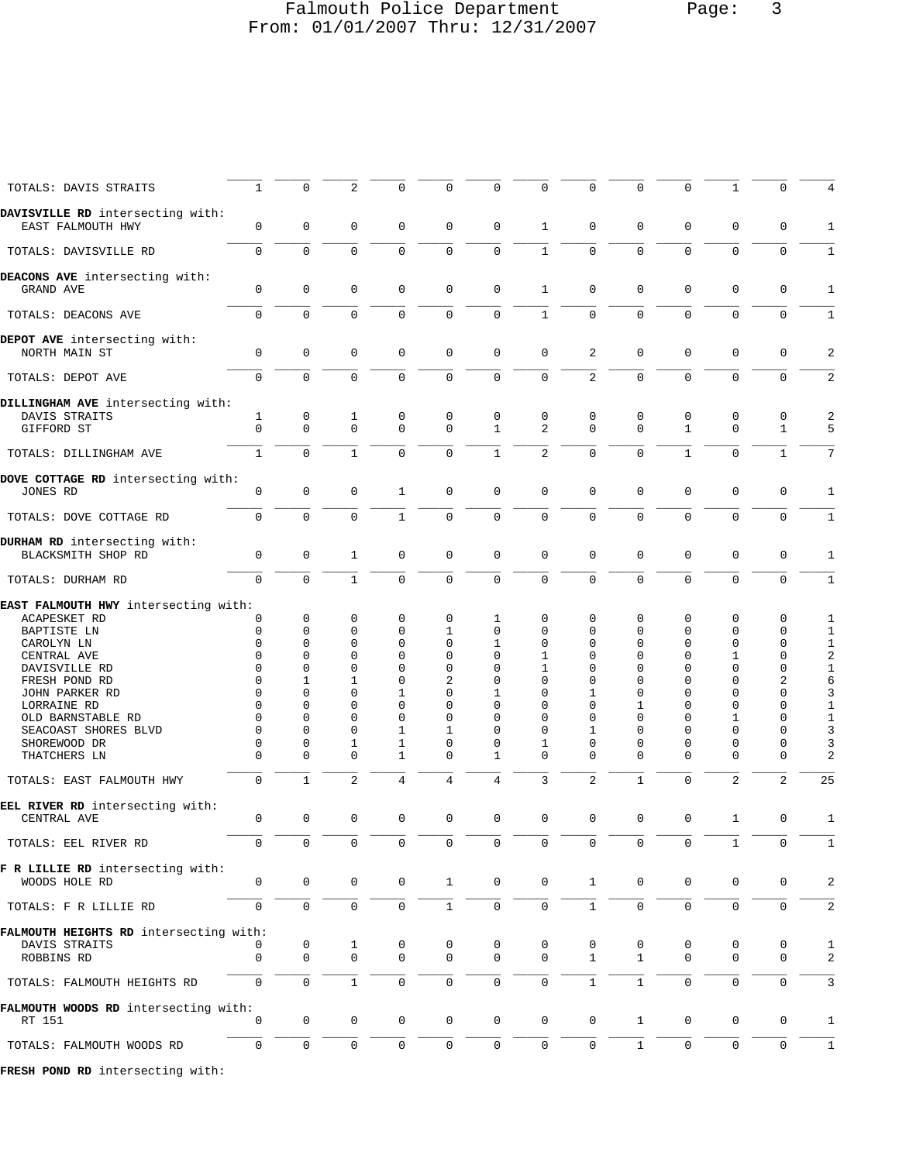# Falmouth Police Department Page: 3 From: 01/01/2007 Thru: 12/31/2007

\_\_\_\_\_ \_\_\_\_\_ \_\_\_\_\_ \_\_\_\_\_ \_\_\_\_\_ \_\_\_\_\_ \_\_\_\_\_ \_\_\_\_\_ \_\_\_\_\_ \_\_\_\_\_ \_\_\_\_\_ \_\_\_\_\_ \_\_\_\_\_

| TOTALS: DAVIS STRAITS                                                                    | $\mathbf{1}$                                 | 0                                               | 2                                            | 0                                             | 0                                     | 0                                     | 0                                                | 0                                                    | 0                                                | $\mathbf 0$                                     | 1                                                | 0                                              |                                               |
|------------------------------------------------------------------------------------------|----------------------------------------------|-------------------------------------------------|----------------------------------------------|-----------------------------------------------|---------------------------------------|---------------------------------------|--------------------------------------------------|------------------------------------------------------|--------------------------------------------------|-------------------------------------------------|--------------------------------------------------|------------------------------------------------|-----------------------------------------------|
| DAVISVILLE RD intersecting with:<br>EAST FALMOUTH HWY                                    | $\mathbf 0$                                  | $\mathbf 0$                                     | $\mathbf 0$                                  | $\mathbf 0$                                   | $\mathbf 0$                           | $\mathbf 0$                           | $\mathbf{1}$                                     | $\mathbf 0$                                          | $\mathbf 0$                                      | $\mathbf 0$                                     | 0                                                | $\mathbf 0$                                    | 1                                             |
| TOTALS: DAVISVILLE RD                                                                    | $\Omega$                                     | $\Omega$                                        | $\Omega$                                     | $\Omega$                                      | $\Omega$                              | $\Omega$                              | $\mathbf{1}$                                     | $\Omega$                                             | $\Omega$                                         | $\Omega$                                        | $\Omega$                                         | $\Omega$                                       | $\mathbf{1}$                                  |
| DEACONS AVE intersecting with:<br>GRAND AVE                                              | $\mathbf 0$                                  | $\mathbf 0$                                     | $\Omega$                                     | $\mathbf 0$                                   | $\mathbf 0$                           | $\mathbf 0$                           | $\mathbf{1}$                                     | $\mathbf 0$                                          | $\mathbf 0$                                      | $\Omega$                                        | $\Omega$                                         | $\mathbf 0$                                    | $\mathbf{1}$                                  |
| TOTALS: DEACONS AVE                                                                      | $\mathbf 0$                                  | $\mathbf 0$                                     | $\Omega$                                     | $\Omega$                                      | $\mathbf 0$                           | $\mathbf 0$                           | $\mathbf{1}$                                     | $\Omega$                                             | $\Omega$                                         | $\Omega$                                        | $\Omega$                                         | $\mathbf 0$                                    | 1                                             |
| DEPOT AVE intersecting with:<br>NORTH MAIN ST                                            | $\Omega$                                     | $\mathbf 0$                                     | $\Omega$                                     | $\mathbf 0$                                   | $\Omega$                              | $\Omega$                              | $\Omega$                                         | 2                                                    | $\Omega$                                         | $\Omega$                                        | $\Omega$                                         | $\mathbf 0$                                    | 2                                             |
| TOTALS: DEPOT AVE                                                                        | $\mathbf 0$                                  | $\mathbf 0$                                     | $\Omega$                                     | $\mathbf 0$                                   | $\mathbf 0$                           | $\mathbf 0$                           | $\Omega$                                         | $\overline{2}$                                       | $\Omega$                                         | $\Omega$                                        | $\Omega$                                         | $\mathbf 0$                                    | 2                                             |
| DILLINGHAM AVE intersecting with:                                                        |                                              |                                                 |                                              |                                               |                                       |                                       |                                                  |                                                      |                                                  |                                                 |                                                  |                                                |                                               |
| DAVIS STRAITS<br>GIFFORD ST                                                              | $\mathbf{1}$<br>$\mathbf 0$                  | 0<br>$\mathbf 0$                                | 1<br>$\Omega$                                | 0<br>$\Omega$                                 | 0<br>$\Omega$                         | 0<br>$\mathbf{1}$                     | 0<br>2                                           | 0<br>$\Omega$                                        | 0<br>$\mathbf 0$                                 | $\mathbf 0$<br>$\mathbf{1}$                     | 0<br>$\Omega$                                    | 0<br>$\mathbf{1}$                              | 2<br>5                                        |
| TOTALS: DILLINGHAM AVE                                                                   | $\mathbf{1}$                                 | $\Omega$                                        | $\mathbf{1}$                                 | $\Omega$                                      | $\Omega$                              | $\mathbf{1}$                          | $\overline{a}$                                   | $\mathbf 0$                                          | $\Omega$                                         | $\mathbf{1}$                                    | $\Omega$                                         | $\mathbf{1}$                                   | 7                                             |
| DOVE COTTAGE RD intersecting with:<br>JONES RD                                           | $\mathbf 0$                                  | $\mathbf 0$                                     |                                              |                                               | $\mathbf 0$                           | $\mathbf 0$                           | $\Omega$                                         | $\Omega$                                             | $\Omega$                                         | $\Omega$                                        | $\Omega$                                         |                                                |                                               |
|                                                                                          |                                              |                                                 | 0                                            | $\mathbf{1}$                                  |                                       |                                       |                                                  |                                                      |                                                  |                                                 |                                                  | 0                                              | 1                                             |
| TOTALS: DOVE COTTAGE RD                                                                  | $\mathbf 0$                                  | $\mathbf 0$                                     | $\Omega$                                     | $\mathbf{1}$                                  | $\mathbf 0$                           | $\mathbf 0$                           | $\Omega$                                         | $\mathbf 0$                                          | $\Omega$                                         | $\Omega$                                        | $\Omega$                                         | $\mathbf 0$                                    | 1                                             |
| DURHAM RD intersecting with:<br>BLACKSMITH SHOP RD                                       | $\mathbf{0}$                                 | $\mathbf 0$                                     | 1                                            | 0                                             | $\mathbf 0$                           | $\mathbf 0$                           | $\mathbf 0$                                      | $\mathbf 0$                                          | $\mathbf 0$                                      | $\mathbf 0$                                     | 0                                                | 0                                              | 1                                             |
| TOTALS: DURHAM RD                                                                        | $\Omega$                                     | $\Omega$                                        | $\mathbf{1}$                                 | $\Omega$                                      | $\Omega$                              | $\Omega$                              | $\Omega$                                         | $\Omega$                                             | $\Omega$                                         | $\Omega$                                        | $\Omega$                                         | $\Omega$                                       | 1                                             |
| EAST FALMOUTH HWY intersecting with:<br><b>ACAPESKET RD</b><br>BAPTISTE LN<br>CAROLYN LN | 0<br>0<br>$\Omega$<br>$\Omega$               | $\mathbf 0$<br>$\Omega$<br>$\Omega$<br>$\Omega$ | 0<br>$\Omega$<br>$\Omega$<br>$\Omega$        | 0<br>0<br>$\Omega$<br>$\Omega$                | 0<br>1<br>0<br>$\Omega$               | 1<br>$\Omega$<br>1<br>$\Omega$        | $\Omega$<br>$\Omega$<br>$\Omega$<br>$\mathbf{1}$ | $\Omega$<br>$\Omega$<br>$\Omega$<br>$\Omega$         | 0<br>$\Omega$<br>$\Omega$<br>$\Omega$            | $\mathbf 0$<br>$\Omega$<br>$\Omega$<br>$\Omega$ | 0<br>$\Omega$<br>$\Omega$                        | 0<br>0<br>$\mathbf 0$<br>$\mathbf 0$           | 1<br>1<br>$1\,$                               |
| CENTRAL AVE<br>DAVISVILLE RD<br>FRESH POND RD                                            | $\Omega$<br>$\Omega$                         | $\Omega$<br>$\mathbf{1}$                        | $\Omega$<br>$\mathbf{1}$                     | $\Omega$<br>$\Omega$                          | $\Omega$<br>2                         | $\Omega$<br>$\Omega$                  | 1<br>$\Omega$                                    | $\Omega$<br>$\Omega$                                 | $\Omega$<br>$\Omega$                             | $\Omega$<br>$\Omega$                            | 1<br>$\Omega$<br>$\Omega$                        | $\mathbf 0$<br>$\sqrt{2}$                      | $\boldsymbol{2}$<br>$\mathbf 1$<br>$\epsilon$ |
| JOHN PARKER RD<br>LORRAINE RD<br>OLD BARNSTABLE RD                                       | $\Omega$<br>$\Omega$<br>$\Omega$<br>$\Omega$ | $\Omega$<br>$\Omega$<br>$\Omega$<br>$\Omega$    | $\Omega$<br>$\Omega$<br>$\Omega$<br>$\Omega$ | $\mathbf{1}$<br>0<br>$\Omega$<br>$\mathbf{1}$ | $\Omega$<br>$\Omega$<br>$\Omega$<br>1 | 1<br>$\Omega$<br>$\Omega$<br>$\Omega$ | $\Omega$<br>$\Omega$<br>$\Omega$<br>$\Omega$     | $\mathbf{1}$<br>$\Omega$<br>$\Omega$<br>$\mathbf{1}$ | $\Omega$<br>$\mathbf{1}$<br>$\Omega$<br>$\Omega$ | $\Omega$<br>$\Omega$<br>$\Omega$<br>$\Omega$    | $\Omega$<br>$\Omega$<br>$\mathbf{1}$<br>$\Omega$ | $\mathbf 0$<br>0<br>$\mathbf 0$<br>$\mathbf 0$ | 3<br>$\mathbf{1}$<br>$\mathbf 1$              |
| SEACOAST SHORES BLVD<br>SHOREWOOD DR<br>THATCHERS LN                                     | 0<br>$\Omega$                                | 0<br>$\Omega$                                   | 1<br>$\Omega$                                | 1<br>$\mathbf{1}$                             | 0<br>$\Omega$                         | $\Omega$<br>$\mathbf{1}$              | 1<br>$\Omega$                                    | 0<br>$\Omega$                                        | 0<br>$\Omega$                                    | $\Omega$<br>$\Omega$                            | $\Omega$<br>$\Omega$                             | 0<br>$\Omega$                                  | 3<br>3<br>$\overline{2}$                      |
| TOTALS: EAST FALMOUTH HWY                                                                | $\Omega$                                     | $\mathbf{1}$                                    | $\overline{a}$                               | 4                                             | $\overline{4}$                        | 4                                     | 3                                                | $\overline{2}$                                       | $\mathbf{1}$                                     | $\Omega$                                        | 2                                                | 2                                              | 25                                            |
| EEL RIVER RD intersecting with:<br>CENTRAL AVE                                           | $\mathbf{0}$                                 | $\mathbf 0$                                     | $\Omega$                                     | $\mathbf 0$                                   | $\mathbf 0$                           | $\mathbf 0$                           | $\mathbf 0$                                      | $\mathbf 0$                                          | $\Omega$                                         | $\mathbf 0$                                     | 1                                                | $\mathbf 0$                                    | 1                                             |
| TOTALS: EEL RIVER RD                                                                     |                                              |                                                 |                                              |                                               |                                       |                                       |                                                  |                                                      |                                                  |                                                 |                                                  |                                                |                                               |
| F R LILLIE RD intersecting with:<br>WOODS HOLE RD                                        | 0                                            | $\mathsf 0$                                     | 0                                            | 0                                             | $\mathbf{1}$                          | 0                                     | 0                                                | $\mathbf{1}$                                         | 0                                                | 0                                               | 0                                                | 0                                              | $\overline{c}$                                |
| TOTALS: F R LILLIE RD                                                                    | $\mathbf 0$                                  | $\mathsf{O}\xspace$                             | $\mathbf 0$                                  | $\mathsf{O}$                                  | $\mathbf{1}$                          | $\mathbf 0$                           | $\mathbf 0$                                      | $\mathbf{1}$                                         | $\mathbf 0$                                      | $\mathsf{O}\xspace$                             | $\mathbf 0$                                      | $\mathbf 0$                                    | 2                                             |
| FALMOUTH HEIGHTS RD intersecting with:<br>DAVIS STRAITS                                  | 0                                            | 0                                               | 1                                            | 0                                             | 0                                     | 0                                     | 0                                                | 0                                                    | 0                                                | 0                                               | 0                                                | 0                                              | 1                                             |
| ROBBINS RD                                                                               | 0                                            | $\mathbf 0$                                     | $\mathbf 0$                                  | 0                                             | 0                                     | $\mathbf 0$                           | $\mathbf 0$                                      | $\mathbf{1}$                                         | $\mathbf 1$                                      | $\mathbf 0$                                     | 0                                                | $\mathbf{0}$                                   | $\overline{c}$                                |
| TOTALS: FALMOUTH HEIGHTS RD                                                              | $\mathsf{O}$                                 | $\mathsf 0$                                     | $\mathbf{1}$                                 | 0                                             | $\mathsf{O}$                          | $\mathbf 0$                           | $\mathsf{O}$                                     | $\mathbf{1}$                                         | $\mathbf{1}$                                     | $\mathsf 0$                                     | 0                                                | $\mathbf 0$                                    | 3                                             |
| FALMOUTH WOODS RD intersecting with:<br>RT 151                                           | 0                                            | $\mathbf 0$                                     | 0                                            | 0                                             | 0                                     | $\mathbf 0$                           | $\mathbf 0$                                      | $\mathbf 0$                                          | 1                                                | 0                                               | 0                                                | 0                                              | 1                                             |
| TOTALS: FALMOUTH WOODS RD                                                                | 0                                            | $\mathsf{O}\xspace$                             | 0                                            | 0                                             | $\mathsf{O}$                          | $\mathsf 0$                           | $\mathbf 0$                                      | $\mathbf 0$                                          | $\mathbf{1}$                                     | $\mathsf{O}\xspace$                             | $\mathbf 0$                                      | $\mathbf 0$                                    | 1                                             |
| FRESH POND RD intersecting with:                                                         |                                              |                                                 |                                              |                                               |                                       |                                       |                                                  |                                                      |                                                  |                                                 |                                                  |                                                |                                               |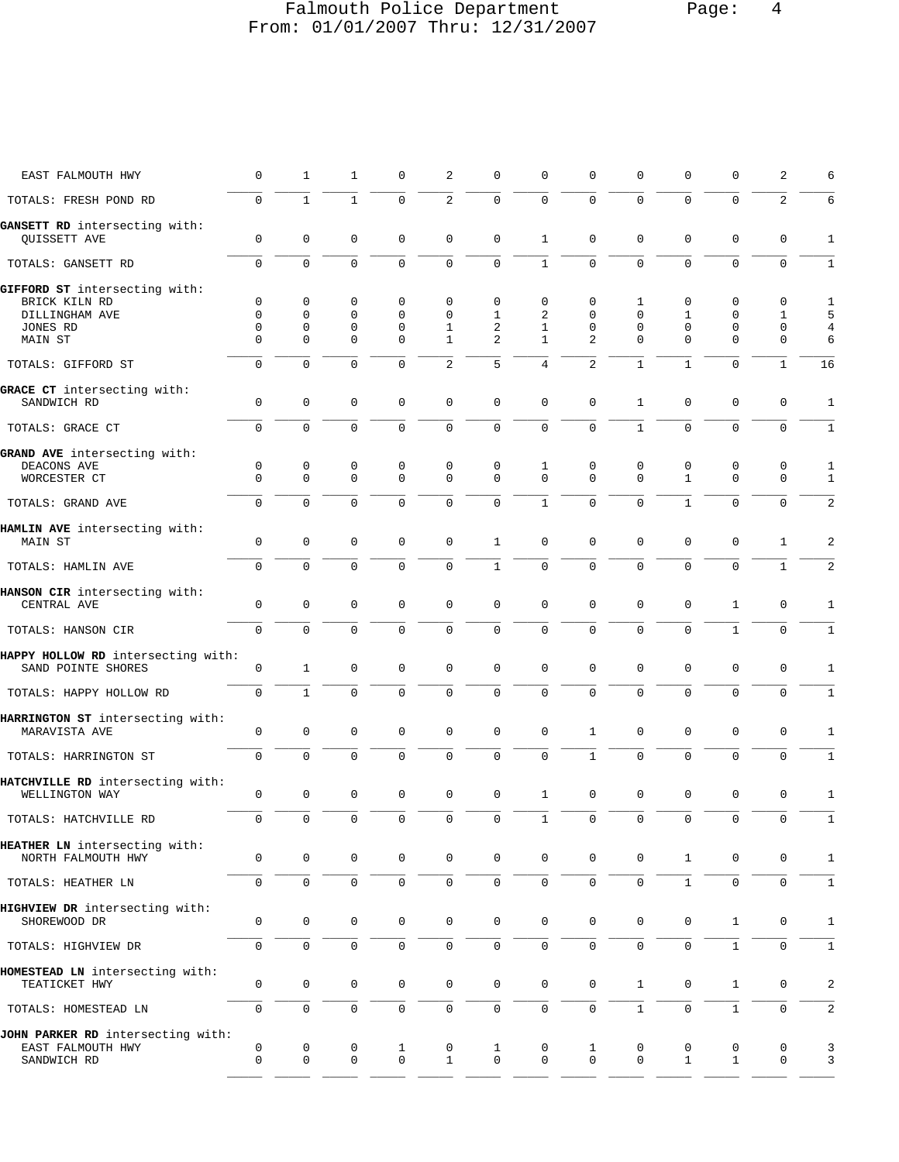# Falmouth Police Department Page: 4 From: 01/01/2007 Thru: 12/31/2007

| EAST FALMOUTH HWY                                                            | 0                     | 1                                | 1                               | $\Omega$                                  | 2                               | 0                   | $\Omega$                        | U                                      | O            | $\Omega$                                   | 0                               | 2                          | 6                        |
|------------------------------------------------------------------------------|-----------------------|----------------------------------|---------------------------------|-------------------------------------------|---------------------------------|---------------------|---------------------------------|----------------------------------------|--------------|--------------------------------------------|---------------------------------|----------------------------|--------------------------|
| TOTALS: FRESH POND RD                                                        | $\mathsf{O}$          | $\mathbf{1}$                     | $\mathbf{1}$                    | $\mathbf 0$                               | 2                               | $\mathbf 0$         | $\mathbf{0}$                    | $\Omega$                               | 0            | $\Omega$                                   | $\mathbf 0$                     | $\overline{a}$             | 6                        |
| GANSETT RD intersecting with:<br>QUISSETT AVE                                | $\mathbf 0$           | 0                                | $\mathbf 0$                     | $\mathbf 0$                               | $\mathbf 0$                     | $\mathbf 0$         | $\mathbf{1}$                    | $\Omega$                               | 0            | $\mathbf 0$                                | $\mathbf 0$                     | $\Omega$                   | 1                        |
| TOTALS: GANSETT RD                                                           | $\mathbf 0$           | $\Omega$                         | $\Omega$                        | $\Omega$                                  | $\mathbf 0$                     | $\mathbf 0$         | $\mathbf{1}$                    | $\Omega$                               | $\Omega$     | $\Omega$                                   | $\mathbf 0$                     | $\Omega$                   | 1                        |
| GIFFORD ST intersecting with:<br>BRICK KILN RD<br>DILLINGHAM AVE<br>JONES RD | 0<br>$\mathbf 0$<br>0 | $\mathbf 0$<br>0<br>$\mathbf{0}$ | 0<br>$\mathbf 0$<br>$\mathbf 0$ | $\mathbf 0$<br>$\mathbf 0$<br>$\mathbf 0$ | $\mathbf 0$<br>$\mathbf 0$<br>1 | 0<br>1<br>2         | $\mathbf 0$<br>2<br>$\mathbf 1$ | $\mathbf 0$<br>$\Omega$<br>$\mathbf 0$ | 1<br>0<br>0  | $\mathbf 0$<br>$\mathbf{1}$<br>$\mathbf 0$ | $\mathbf 0$<br>0<br>$\mathbf 0$ | $\mathbf 0$<br>1<br>0      | 1<br>5<br>$\overline{4}$ |
| MAIN ST                                                                      | $\Omega$              | 0                                | $\mathbf 0$                     | $\mathbf 0$                               | $\mathbf{1}$                    | 2                   | $\mathbf{1}$                    | $\overline{2}$                         | 0            | 0                                          | $\mathbf 0$                     | $\mathbf 0$                | 6                        |
| TOTALS: GIFFORD ST                                                           | 0                     | $\mathbf{0}$                     | $\mathbf 0$                     | $\Omega$                                  | $\overline{a}$                  | 5                   | 4                               | $\overline{a}$                         | $\mathbf 1$  | $\mathbf{1}$                               | $\mathbf 0$                     | $\mathbf{1}$               | 16                       |
| GRACE CT intersecting with:<br>SANDWICH RD                                   | 0                     | $\mathbf 0$                      | 0                               | $\mathbf 0$                               | $\mathbf 0$                     | $\mathbf 0$         | $\mathbf{0}$                    | $\mathbf{0}$                           | 1            | $\mathbf 0$                                | $\mathbf 0$                     | $\mathbf 0$                | 1                        |
| TOTALS: GRACE CT                                                             | $\mathbf 0$           | $\Omega$                         | $\Omega$                        | $\Omega$                                  | 0                               | $\mathbf 0$         | $\overline{0}$                  | 0                                      | $\mathbf{1}$ | $\Omega$                                   | 0                               | $\Omega$                   | $\mathbf{1}$             |
| GRAND AVE intersecting with:<br>DEACONS AVE<br>WORCESTER CT                  | 0<br>$\Omega$         | 0<br>0                           | 0<br>$\mathbf 0$                | 0<br>$\mathbf 0$                          | 0<br>$\mathbf 0$                | 0<br>$\Omega$       | 1<br>$\Omega$                   | 0<br>$\Omega$                          | 0<br>0       | 0<br>$\mathbf{1}$                          | 0<br>$\mathbf 0$                | $\mathbf 0$<br>$\mathbf 0$ | 1<br>$\mathbf{1}$        |
| TOTALS: GRAND AVE                                                            | $\Omega$              | $\Omega$                         | $\Omega$                        | $\Omega$                                  | $\Omega$                        | $\mathbf 0$         | $\mathbf{1}$                    | $\Omega$                               | 0            | $\mathbf{1}$                               | 0                               | $\Omega$                   | 2                        |
| HAMLIN AVE intersecting with:<br><b>MAIN ST</b>                              | $\mathbf 0$           | $\mathbf 0$                      | $\mathbf 0$                     | $\mathbf 0$                               | $\mathbf 0$                     | $\mathbf{1}$        | $\mathbf{0}$                    | $\mathbf 0$                            | 0            | 0                                          | $\mathbf 0$                     | $\mathbf{1}$               | 2                        |
| TOTALS: HAMLIN AVE                                                           | $\mathbf 0$           | $\mathbf 0$                      | $\Omega$                        | $\Omega$                                  | $\mathbf{0}$                    | $\mathbf{1}$        | $\mathbf 0$                     | 0                                      | 0            | $\mathbf 0$                                | $\mathbf 0$                     | $\mathbf{1}$               | 2                        |
| HANSON CIR intersecting with:<br>CENTRAL AVE                                 | 0                     | $\mathbf 0$                      | $\mathbf 0$                     | $\mathbf 0$                               | $\mathbf 0$                     | $\mathbf 0$         | $\mathbf{0}$                    | $\mathbf 0$                            | 0            | $\mathbf 0$                                | $\mathbf{1}$                    | $\mathbf 0$                | 1                        |
| TOTALS: HANSON CIR                                                           | $\mathbf 0$           | $\mathbf 0$                      | $\mathbf 0$                     | $\mathbf 0$                               | $\mathbf 0$                     | $\mathbf 0$         | $\mathbf{0}$                    | $\mathbf 0$                            | 0            | $\mathbf 0$                                | $\mathbf{1}$                    | $\mathbf 0$                | $\mathbf{1}$             |
| HAPPY HOLLOW RD intersecting with:<br>SAND POINTE SHORES                     | 0                     | 1                                | 0                               | 0                                         | $\mathbf 0$                     | 0                   | $\mathbf{0}$                    | $\Omega$                               | 0            | 0                                          | $\mathbf 0$                     | $\Omega$                   | 1                        |
| TOTALS: HAPPY HOLLOW RD                                                      | $\mathbf{0}$          | $\mathbf{1}$                     | $\mathbf 0$                     | $\mathbf 0$                               | $\mathbf 0$                     | $\mathbf 0$         | $\mathbf 0$                     | $\mathbf 0$                            | 0            | 0                                          | $\mathbf 0$                     | $\mathbf 0$                | 1                        |
| HARRINGTON ST intersecting with:<br>MARAVISTA AVE                            | $\mathbf 0$           | $\mathbf{0}$                     | $\mathbf 0$                     | $\mathbf 0$                               | $\mathbf 0$                     | $\mathbf 0$         | $\mathbf{0}$                    | $\mathbf{1}$                           | 0            | $\mathbf 0$                                | $\mathbf 0$                     | $\Omega$                   | 1                        |
| TOTALS: HARRINGTON ST                                                        | $\mathbf 0$           | $\Omega$                         | $\Omega$                        | $\Omega$                                  | $\mathbf 0$                     | $\mathbf 0$         | $\Omega$                        | $\mathbf{1}$                           | $\Omega$     | $\Omega$                                   | $\mathbf 0$                     | $\Omega$                   | 1                        |
| HATCHVILLE RD intersecting with:<br>WELLINGTON WAY                           | 0                     | $\mathbf 0$                      | $\mathbf 0$                     | $\mathbf 0$                               | $\mathsf 0$                     | 0                   | $\mathbf{1}$                    | $\mathbf 0$                            | 0            | $\mathbf 0$                                | $\mathsf 0$                     | $\mathbf 0$                | 1                        |
| TOTALS: HATCHVILLE RD                                                        | 0                     | $\mathbf 0$                      | $\mathbf 0$                     | $\Omega$                                  | $\mathbf 0$                     | 0                   | $\mathbf 1$                     | 0                                      | 0            | $\mathsf{O}\xspace$                        | $\mathsf{0}$                    | 0                          | $\mathbf{1}$             |
| HEATHER LN intersecting with:<br>NORTH FALMOUTH HWY                          | 0                     | $\mathbf 0$                      | 0                               | 0                                         | 0                               | 0                   | $\mathbf 0$                     | 0                                      | 0            | $\mathbf{1}$                               | 0                               | 0                          | 1                        |
| TOTALS: HEATHER LN                                                           | $\mathbf 0$           | $\mathsf{O}\xspace$              | $\mathsf{O}\xspace$             | $\mathsf{O}$                              | $\mathbf 0$                     | $\mathsf{O}$        | $\mathbf 0$                     | $\mathbf 0$                            | 0            | $\mathbf{1}$                               | $\mathsf{O}\xspace$             | $\mathsf{O}\xspace$        | $\mathbf{1}$             |
| HIGHVIEW DR intersecting with:<br>SHOREWOOD DR                               | 0                     | $\mathbf 0$                      | $\mathbf 0$                     | 0                                         | 0                               | $\mathsf{O}\xspace$ | $\mathbf 0$                     | $\mathbf 0$                            | 0            | $\mathsf{O}$                               | $\mathbf{1}$                    | $\mathbf 0$                | 1                        |
| TOTALS: HIGHVIEW DR                                                          | 0                     | $\mathbf 0$                      | $\mathbf 0$                     | 0                                         | 0                               | 0                   | $\mathbf 0$                     | 0                                      | 0            | 0                                          | $\mathbf{1}$                    | 0                          | 1                        |
| HOMESTEAD LN intersecting with:<br>TEATICKET HWY                             | 0                     | $\mathbf 0$                      | $\mathbf 0$                     | 0                                         | 0                               | 0                   | $\mathbf 0$                     | $\mathbf 0$                            | $\mathbf{1}$ | 0                                          | $\mathbf{1}$                    | 0                          | 2                        |
| TOTALS: HOMESTEAD LN                                                         | $\mathsf{O}$          | $\mathbf 0$                      | $\mathbf 0$                     | $\mathbf 0$                               | $\mathsf 0$                     | 0                   | $\mathbf{0}$                    | 0                                      | $\mathbf{1}$ | $\mathbf 0$                                | $\mathbf{1}$                    | $\mathbf 0$                | $\overline{\mathbf{c}}$  |
| JOHN PARKER RD intersecting with:<br>EAST FALMOUTH HWY<br>SANDWICH RD        | 0<br>0                | 0<br>$\mathbf 0$                 | 0<br>$\mathbf 0$                | 1<br>0                                    | 0<br>$\mathbf{1}$               | $\mathbf 1$<br>0    | 0<br>$\mathbf 0$                | 1<br>$\mathbf 0$                       | 0<br>0       | 0<br>$\mathbf{1}$                          | 0<br>$\mathbf{1}$               | 0<br>0                     | 3<br>3                   |
|                                                                              |                       |                                  |                                 |                                           |                                 |                     |                                 |                                        |              |                                            |                                 |                            |                          |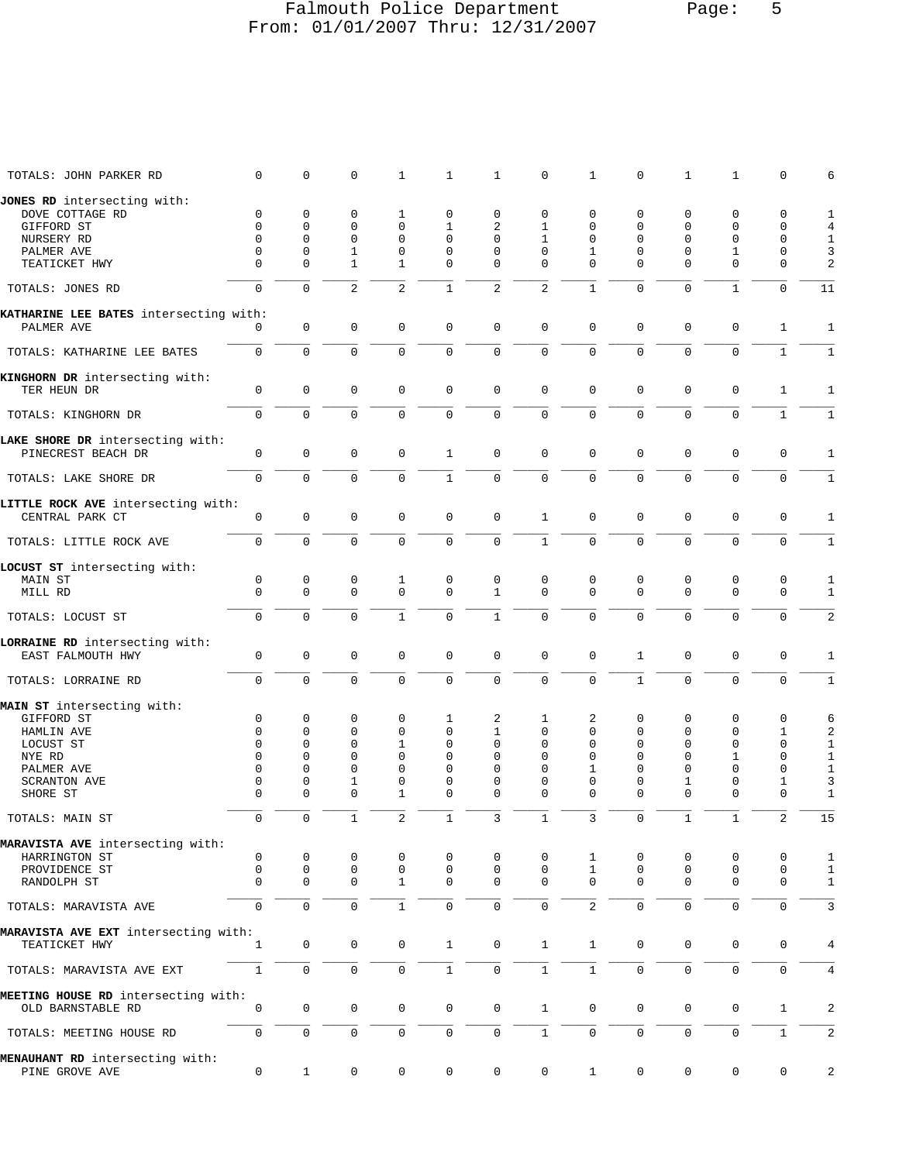## Falmouth Police Department Page: 5 From: 01/01/2007 Thru: 12/31/2007

| TOTALS: JOHN PARKER RD                        | $\Omega$       | 0                   | 0              | 1              | $\mathbf 1$         | 1                   | 0                   | 1              | $\Omega$       | $\mathbf{1}$ | 1                   | $\Omega$     | 6              |
|-----------------------------------------------|----------------|---------------------|----------------|----------------|---------------------|---------------------|---------------------|----------------|----------------|--------------|---------------------|--------------|----------------|
| JONES RD intersecting with:                   |                |                     |                |                |                     |                     |                     |                |                |              |                     |              |                |
| DOVE COTTAGE RD                               | 0              | 0                   | 0              | 1              | 0                   | 0                   | 0                   | $\mathbf 0$    | 0              | 0            | 0                   | 0            | $\mathbf{1}$   |
| GIFFORD ST                                    | $\Omega$       | $\Omega$            | 0              | $\mathbf 0$    | $\mathbf 1$         | 2                   | $\mathbf{1}$        | $\Omega$       | 0              | 0            | 0                   | $\Omega$     | $\overline{4}$ |
| NURSERY RD                                    | $\Omega$       | $\Omega$            | $\mathbf 0$    | $\mathbf 0$    | 0                   | $\Omega$            | $\mathbf{1}$        | $\Omega$       | $\Omega$       | $\Omega$     | 0                   | $\mathbf 0$  | $\mathbf{1}$   |
| PALMER AVE                                    | 0              | 0                   | $\mathbf{1}$   | $\mathbf 0$    | $\mathbf{0}$        | $\mathbf 0$         | $\mathbf 0$         | 1              | $\mathbf 0$    | 0            | 1                   | $\mathbf 0$  | $\mathsf{3}$   |
| TEATICKET HWY                                 | $\Omega$       | $\Omega$            | $\mathbf{1}$   | $\mathbf{1}$   | $\Omega$            | $\Omega$            | $\Omega$            | $\Omega$       | $\Omega$       | $\Omega$     | $\Omega$            | $\Omega$     | 2              |
| TOTALS: JONES RD                              | $\mathbf 0$    | $\mathbf 0$         | $\overline{2}$ | $\overline{2}$ | $\mathbf{1}$        | $\overline{a}$      | 2                   | $\mathbf{1}$   | $\Omega$       | $\Omega$     | $\mathbf{1}$        | $\Omega$     | 11             |
| KATHARINE LEE BATES intersecting with:        |                |                     |                |                |                     |                     |                     |                |                |              |                     |              |                |
| PALMER AVE                                    |                | $\mathsf{O}\xspace$ | $\mathsf 0$    | $\mathbf 0$    | 0                   | $\mathsf 0$         | $\mathbf 0$         | $\mathbf 0$    | $\mathbf 0$    | 0            | $\mathbf 0$         | 1            | 1              |
| TOTALS: KATHARINE LEE BATES                   | $\mathbf 0$    | $\mathbf 0$         | $\mathbf 0$    | $\mathbf 0$    | $\mathbf{0}$        | $\mathbf 0$         | $\mathbf{0}$        | $\mathbf 0$    | 0              | 0            | $\mathbf{0}$        | $\mathbf{1}$ | $\mathbf{1}$   |
| KINGHORN DR intersecting with:<br>TER HEUN DR | $\mathbf{0}$   | $\mathsf{O}\xspace$ | $\mathbf 0$    | $\mathbf 0$    | $\mathbf 0$         | $\mathbf 0$         | $\mathbf{0}$        | $\mathbf 0$    | $\mathbf 0$    | $\mathbf{0}$ | $\mathbf 0$         | $\mathbf{1}$ | $\mathbf{1}$   |
| TOTALS: KINGHORN DR                           | 0              | $\mathbf{0}$        | $\mathbf 0$    | $\mathbf 0$    | $\mathsf{O}\xspace$ | $\mathbf 0$         | $\mathsf{O}\xspace$ | $\mathbf 0$    | $\overline{0}$ | $\mathsf{O}$ | $\mathbf 0$         | $\mathbf{1}$ | $\mathbf{1}$   |
| LAKE SHORE DR intersecting with:              |                |                     |                |                |                     |                     |                     |                |                |              |                     |              |                |
| PINECREST BEACH DR                            | $\mathbf{0}$   | $\mathbf 0$         | $\mathbf 0$    | $\mathbf 0$    | $\mathbf{1}$        | $\mathbf 0$         | $\mathbf{0}$        | $\mathbf 0$    | 0              | $\mathbf{0}$ | $\mathbf 0$         | $\mathbf 0$  | $\mathbf{1}$   |
| TOTALS: LAKE SHORE DR                         | 0              | $\mathbf 0$         | $\mathbf 0$    | $\mathbf 0$    | $\mathbf{1}$        | $\mathbf 0$         | $\mathbf 0$         | $\mathbf{0}$   | $\mathbf 0$    | 0            | $\Omega$            | $\Omega$     | $\mathbf{1}$   |
| LITTLE ROCK AVE intersecting with:            |                |                     |                |                |                     |                     |                     |                |                |              |                     |              |                |
| CENTRAL PARK CT                               | $\mathbf 0$    | 0                   | $\mathsf 0$    | $\mathbf 0$    | 0                   | 0                   | $\mathbf{1}$        | $\mathbf 0$    | $\mathbf 0$    | 0            | 0                   | 0            | $\mathbf{1}$   |
| TOTALS: LITTLE ROCK AVE                       | $\mathbf 0$    | $\mathbf 0$         | $\mathbf 0$    | $\mathbf 0$    | $\mathbf 0$         | $\mathbf 0$         | $\mathbf{1}$        | $\mathbf 0$    | $\Omega$       | $\Omega$     | $\Omega$            | $\mathbf 0$  | $\mathbf{1}$   |
| LOCUST ST intersecting with:                  |                |                     |                |                |                     |                     |                     |                |                |              |                     |              |                |
| MAIN ST                                       | 0              | 0                   | 0              | 1              | 0                   | 0                   | 0                   | $\mathbf 0$    | 0              | 0            | 0                   | 0            | 1              |
| MILL RD                                       | $\overline{0}$ | $\mathbf 0$         | $\mathbf 0$    | $\mathbf 0$    | 0                   | $\mathbf{1}$        | $\mathbf 0$         | $\Omega$       | $\Omega$       | $\Omega$     | $\Omega$            | $\mathbf 0$  | $\mathbf{1}$   |
| TOTALS: LOCUST ST                             | $\mathbf 0$    | $\mathbf 0$         | $\mathbf 0$    | $\mathbf{1}$   | 0                   | $\mathbf{1}$        | $\mathbf 0$         | $\mathbf 0$    | $\mathbf 0$    | 0            | $\mathbf 0$         | $\mathbf 0$  | $\overline{a}$ |
| LORRAINE RD intersecting with:                |                |                     |                |                |                     |                     |                     |                |                |              |                     |              |                |
| EAST FALMOUTH HWY                             | 0              | 0                   | $\mathsf 0$    | $\mathbf 0$    | $\mathbf 0$         | 0                   | $\mathbf 0$         | $\mathbf 0$    | $\mathbf{1}$   | $\mathbf 0$  | $\mathbf 0$         | $\mathbf 0$  | 1              |
| TOTALS: LORRAINE RD                           | $\mathbf 0$    | $\mathbf 0$         | $\mathbf 0$    | $\mathbf 0$    | $\mathbf 0$         | $\mathbf 0$         | $\mathbf 0$         | $\mathbf 0$    | $\mathbf{1}$   | $\Omega$     | $\Omega$            | $\mathbf 0$  | $\mathbf{1}$   |
| MAIN ST intersecting with:                    |                |                     |                |                |                     |                     |                     |                |                |              |                     |              |                |
| GIFFORD ST                                    | 0              | 0                   | 0              | 0              | 1                   | 2                   | 1                   | 2              | 0              | 0            | 0                   | 0            | 6              |
| HAMLIN AVE                                    | $\mathbf 0$    | 0                   | 0              | 0              | 0                   | $\mathbf{1}$        | $\mathbf 0$         | $\mathbf 0$    | 0              | 0            | 0                   | 1            | 2              |
| LOCUST ST                                     | $\Omega$       | 0                   | 0              | 1              | 0                   | 0                   | 0                   | $\mathbf 0$    | 0              | $\Omega$     | 0                   | 0            | $\mathbf{1}$   |
| NYE RD                                        | $\Omega$       | $\Omega$            | $\Omega$       | $\Omega$       | $\Omega$            | $\Omega$            | $\Omega$            | $\Omega$       | $\Omega$       | $\Omega$     | 1                   | $\Omega$     | $\mathbf{1}$   |
| PALMER AVE                                    | $\Omega$       | 0                   | 0              | $\mathbf 0$    | 0                   | 0                   | 0                   | 1              | 0              | 0            | $\Omega$            | 0            | $\mathbf{1}$   |
| <b>SCRANTON AVE</b>                           | 0              | 0                   | 1              | 0              | 0                   | 0                   | 0                   | $\mathbf 0$    | 0              | 1            | 0                   | 1            | 3              |
| SHORE ST                                      | 0              | $\Omega$            | $\Omega$       | 1              | 0                   | 0                   | 0                   | $\mathbf 0$    | 0              | $\Omega$     | 0                   | $\mathbf{0}$ | $\mathbf{1}$   |
| TOTALS: MAIN ST                               | 0              | 0                   | 1              | 2              | 1                   | 3                   | 1                   | 3              | 0              | 1            |                     | 2            | 15             |
| MARAVISTA AVE intersecting with:              |                |                     |                |                |                     |                     |                     |                |                |              |                     |              |                |
| HARRINGTON ST                                 | 0              | 0                   | 0              | 0              | 0                   | 0                   | 0                   | 1              | 0              | 0            | 0                   | 0            | $\mathbf{1}$   |
| PROVIDENCE ST                                 | 0              | $\mathbf 0$         | 0              | 0              | 0                   | $\mathbf 0$         | $\mathbf 0$         | $\mathbf{1}$   | 0              | 0            | 0                   | 0            | $\mathbf{1}$   |
| RANDOLPH ST                                   | 0              | 0                   | $\mathbf 0$    | $\mathbf{1}$   | 0                   | 0                   | $\mathbf{0}$        | $\Omega$       | $\mathbf 0$    | 0            | 0                   | $\mathbf 0$  | $\mathbf{1}$   |
| TOTALS: MARAVISTA AVE                         | 0              | $\mathsf{O}$        | $\mathsf 0$    | $\mathbf{1}$   | 0                   | $\mathbf 0$         | $\mathbf 0$         | $\overline{a}$ | 0              | $\mathbf 0$  | $\mathbf 0$         | $\mathbf 0$  | 3              |
| MARAVISTA AVE EXT intersecting with:          |                |                     |                |                |                     |                     |                     |                |                |              |                     |              |                |
| TEATICKET HWY                                 | $\mathbf{1}$   | $\mathsf{O}\xspace$ | 0              | 0              | $\mathbf{1}$        | $\mathsf{O}\xspace$ | $\mathbf{1}$        | $\mathbf{1}$   | 0              | 0            | $\mathbf 0$         | 0            | $\overline{4}$ |
| TOTALS: MARAVISTA AVE EXT                     | 1              | $\mathsf 0$         | $\mathsf 0$    | 0              | $\mathbf{1}$        | 0                   | $\mathbf{1}$        | $\mathbf{1}$   | 0              | $\mathsf{O}$ | $\mathsf{O}\xspace$ | $\mathbf 0$  | 4              |
| MEETING HOUSE RD intersecting with:           |                |                     |                |                |                     |                     |                     |                |                |              |                     |              |                |
| OLD BARNSTABLE RD                             | 0              | 0                   | 0              | 0              | $\mathbf 0$         | $\mathbf 0$         | $\mathbf{1}$        | $\mathbf 0$    | 0              | 0            | 0                   | 1            | 2              |
| TOTALS: MEETING HOUSE RD                      | $\mathsf 0$    | $\mathsf{O}$        | $\mathsf 0$    | 0              | 0                   | 0                   | $\mathbf{1}$        | $\mathbf{0}$   | $\mathbf 0$    | $\mathsf{O}$ | $\mathbf 0$         | $\mathbf{1}$ | 2              |
| MENAUHANT RD intersecting with:               |                |                     |                |                |                     |                     |                     |                |                |              |                     |              |                |
| PINE GROVE AVE                                | 0              | $\mathbf{1}$        | 0              | 0              | 0                   | 0                   | 0                   | $\mathbf{1}$   | 0              | 0            | 0                   | 0            | 2              |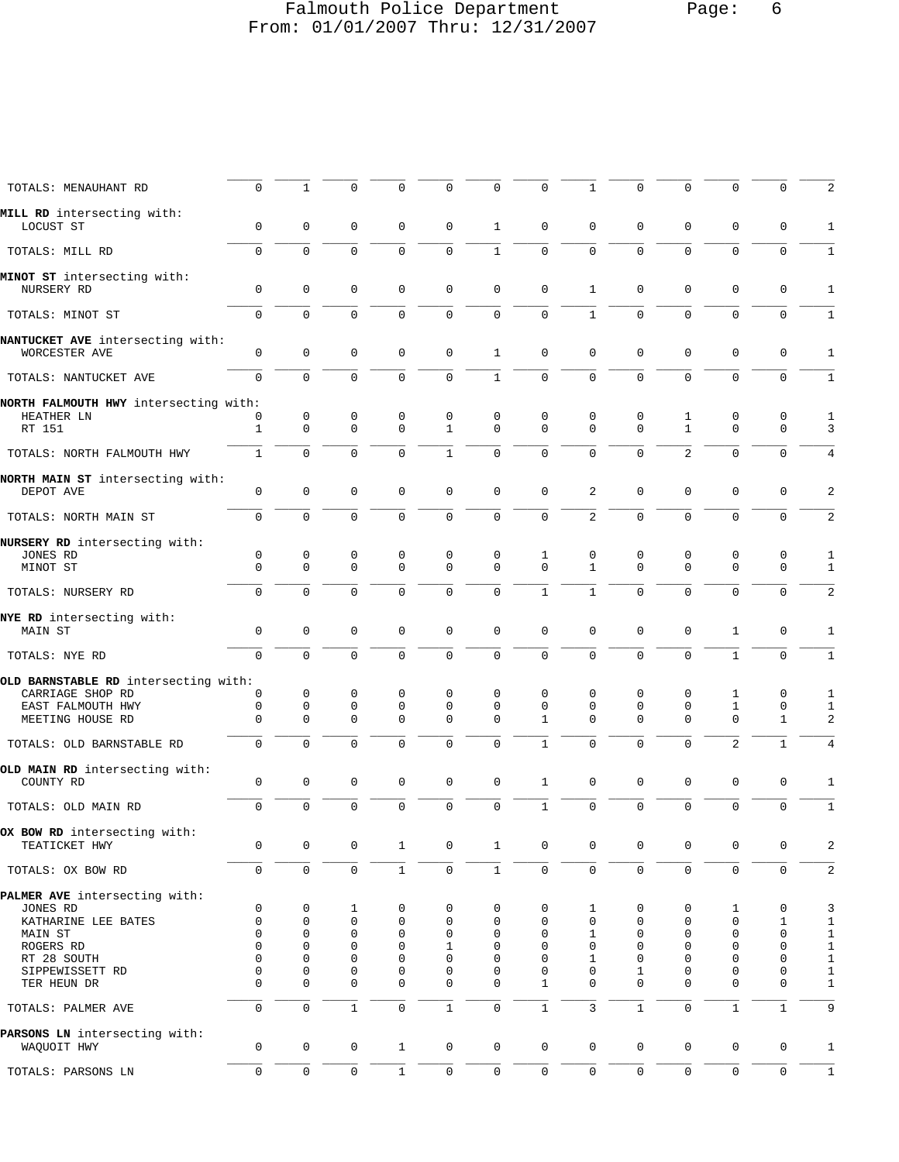# Falmouth Police Department Page: 6 From: 01/01/2007 Thru: 12/31/2007

| TOTALS: MENAUHANT RD                              | $\mathbf 0$      | $\mathbf{1}$     | 0                | $\Omega$         | $\Omega$          | 0            | $\mathbf 0$       | $\mathbf{1}$     | $\mathbf 0$      | $\mathbf 0$       | $\mathbf{0}$      | $\Omega$         | 2            |
|---------------------------------------------------|------------------|------------------|------------------|------------------|-------------------|--------------|-------------------|------------------|------------------|-------------------|-------------------|------------------|--------------|
| MILL RD intersecting with:                        |                  |                  |                  |                  |                   |              |                   |                  |                  |                   |                   |                  |              |
| LOCUST ST                                         | $\mathbf 0$      | $\mathbf 0$      | $\mathbf 0$      | 0                | 0                 | $\mathbf{1}$ | $\mathbf 0$       | $\mathbf 0$      | 0                | $\mathbf 0$       | 0                 | 0                | 1            |
| TOTALS: MILL RD                                   | $\mathbf 0$      | 0                | $\mathbf 0$      | 0                | 0                 | $\mathbf{1}$ | $\mathbf{0}$      | $\mathbf{0}$     | $\mathbf 0$      | $\mathbf 0$       | $\mathbf 0$       | $\mathbf 0$      | 1            |
| MINOT ST intersecting with:<br>NURSERY RD         | $\mathbf 0$      | $\mathbf 0$      | $\mathbf 0$      | 0                | 0                 | $\mathbf 0$  | $\mathbf 0$       | 1                | 0                | $\mathbf 0$       | 0                 | 0                | 1            |
| TOTALS: MINOT ST                                  | $\mathbf 0$      | $\Omega$         | $\mathbf 0$      | 0                | 0                 | $\mathbf 0$  | $\mathbf 0$       | $\mathbf{1}$     | $\mathbf 0$      | $\mathbf 0$       | $\mathbf 0$       | $\mathbf 0$      | $\mathbf{1}$ |
|                                                   |                  |                  |                  |                  |                   |              |                   |                  |                  |                   |                   |                  |              |
| NANTUCKET AVE intersecting with:<br>WORCESTER AVE | 0                | 0                | 0                | 0                | 0                 | $\mathbf{1}$ | $\mathbf 0$       | $\mathbf 0$      | 0                | 0                 | $\mathbf 0$       | $\mathbf 0$      | 1            |
| TOTALS: NANTUCKET AVE                             | $\mathbf 0$      | $\mathbf 0$      | $\mathbf 0$      | $\Omega$         | 0                 | $\mathbf{1}$ | $\mathbf 0$       | $\mathbf 0$      | $\mathbf 0$      | $\mathbf 0$       | $\mathbf 0$       | $\mathbf 0$      | $\mathbf{1}$ |
| NORTH FALMOUTH HWY intersecting with:             |                  |                  |                  |                  |                   |              |                   |                  |                  |                   |                   |                  |              |
| HEATHER LN<br>RT 151                              | 0<br>1           | 0<br>$\mathbf 0$ | 0<br>$\mathbf 0$ | 0<br>$\mathbf 0$ | 0<br>$\mathbf{1}$ | 0<br>0       | 0<br>$\mathbf{0}$ | 0<br>$\mathbf 0$ | 0<br>$\mathbf 0$ | 1<br>$\mathbf{1}$ | 0<br>$\mathbf{0}$ | 0<br>$\mathbf 0$ | 1<br>3       |
| TOTALS: NORTH FALMOUTH HWY                        | 1                | 0                | 0                | 0                | $\mathbf{1}$      | $\mathbf 0$  | $\mathbf{0}$      | 0                | $\mathbf 0$      | 2                 | 0                 | $\mathbf 0$      | 4            |
|                                                   |                  |                  |                  |                  |                   |              |                   |                  |                  |                   |                   |                  |              |
| NORTH MAIN ST intersecting with:<br>DEPOT AVE     | $\mathbf 0$      | $\mathbf{0}$     | $\mathbf 0$      | $\mathbf 0$      | 0                 | 0            | $\mathbf{0}$      | 2                | 0                | $\mathbf 0$       | 0                 | $\mathbf 0$      | 2            |
| TOTALS: NORTH MAIN ST                             | 0                | $\Omega$         | $\mathbf 0$      | $\Omega$         | $\Omega$          | $\mathbf 0$  | $\mathbf 0$       | 2                | $\mathbf 0$      | $\mathbf 0$       | $\mathbf 0$       | $\Omega$         | 2            |
| NURSERY RD intersecting with:                     |                  |                  |                  |                  |                   |              |                   |                  |                  |                   |                   |                  |              |
| JONES RD<br>MINOT ST                              | 0<br>$\mathbf 0$ | 0<br>0           | 0<br>$\mathbf 0$ | 0<br>0           | 0<br>0            | 0<br>0       | 1<br>$\mathbf 0$  | 0<br>1           | 0<br>$\mathbf 0$ | 0<br>$\mathbf 0$  | 0<br>$\mathbf{0}$ | 0<br>$\mathbf 0$ | 1<br>1       |
| TOTALS: NURSERY RD                                | $\mathbf 0$      | 0                | $\mathbf 0$      | 0                | 0                 | 0            | $\mathbf{1}$      | $\mathbf{1}$     | $\mathbf 0$      | $\mathbf 0$       | $\mathbf{0}$      | 0                | 2            |
|                                                   |                  |                  |                  |                  |                   |              |                   |                  |                  |                   |                   |                  |              |
| NYE RD intersecting with:<br>MAIN ST              | $\mathbf 0$      | $\mathbf 0$      | $\mathbf 0$      | $\mathbf 0$      | 0                 | 0            | $\mathbf{0}$      | $\mathbf 0$      | 0                | $\mathbf 0$       | $\mathbf{1}$      | $\mathbf 0$      | 1            |
| TOTALS: NYE RD                                    | $\mathbf 0$      | $\mathbf 0$      | $\mathbf 0$      | 0                | 0                 | 0            | $\mathbf 0$       | 0                | $\mathbf 0$      | $\mathbf 0$       | $\mathbf{1}$      | $\Omega$         | $1\,$        |
| OLD BARNSTABLE RD intersecting with:              |                  |                  |                  |                  |                   |              |                   |                  |                  |                   |                   |                  |              |
| CARRIAGE SHOP RD                                  | 0                | 0                | 0                | 0                | 0                 | 0            | 0                 | 0                | 0                | 0                 | 1                 | 0                | 1            |
| EAST FALMOUTH HWY                                 | $\mathbf 0$      | 0                | 0                | 0                | 0                 | 0            | 0                 | 0                | 0                | 0                 | $\mathbf{1}$      | 0                | 1            |
| MEETING HOUSE RD                                  | $\mathbf 0$      | $\Omega$         | $\mathbf 0$      | 0                | $\Omega$          | 0            | 1                 | $\Omega$         | $\Omega$         | $\Omega$          | 0                 | $\mathbf{1}$     | 2            |
| TOTALS: OLD BARNSTABLE RD                         | $\mathbf 0$      | 0                | $\mathbf 0$      | $\Omega$         | 0                 | 0            | $1\,$             | 0                | $\mathbf 0$      | $\mathbf 0$       | $\overline{2}$    | $\mathbf{1}$     | 4            |
| OLD MAIN RD intersecting with:<br>COUNTY RD       | $\mathbf 0$      | $\mathbf 0$      | $\mathbf 0$      | $\mathbf 0$      | $\mathbf 0$       | $\mathbf 0$  | $\mathbf{1}$      | $\mathbf 0$      | $\mathsf 0$      | $\mathbf 0$       | 0                 | $\mathbf 0$      | 1            |
|                                                   |                  |                  |                  |                  |                   |              |                   |                  |                  |                   |                   |                  |              |
| TOTALS: OLD MAIN RD                               | $\mathbf 0$      | 0                | $\mathbf 0$      | $\mathbf 0$      | 0                 | $\mathbf 0$  | $\mathbf{1}$      | 0                | 0                | $\mathbf 0$       | $\mathbf 0$       | $\mathbf 0$      | $1\,$        |
| OX BOW RD intersecting with:<br>TEATICKET HWY     | 0                | 0                | 0                | $\mathbf{1}$     | 0                 | $\mathbf{1}$ | $\mathbf 0$       | $\mathbf 0$      | 0                | 0                 | 0                 | 0                | 2            |
| TOTALS: OX BOW RD                                 | $\mathbf 0$      | $\mathbf 0$      | $\mathbf 0$      | $1\,$            | 0                 | $\mathbf{1}$ | $\mathbf 0$       | $\mathbf 0$      | $\mathbf 0$      | $\mathbf 0$       | $\mathbf{0}$      | $\mathbf 0$      | 2            |
| PALMER AVE intersecting with:                     |                  |                  |                  |                  |                   |              |                   |                  |                  |                   |                   |                  |              |
| JONES RD                                          | 0                | 0                | 1                | 0                | 0                 | 0            | $\mathbf 0$       | 1                | 0                | 0                 | 1                 | 0                | 3            |
| KATHARINE LEE BATES                               | $\mathbf 0$      | 0                | $\mathbf 0$      | 0                | 0                 | 0            | $\mathbf 0$       | 0                | $\mathbf 0$      | 0                 | $\mathbf{0}$      | 1                | $\mathbf 1$  |
| MAIN ST                                           | 0                | 0                | 0                | 0                | 0                 | 0            | $\mathbf 0$       | 1                | 0                | 0                 | 0                 | $\mathbf 0$      | $\mathbf 1$  |
| ROGERS RD                                         | 0                | 0                | 0                | 0                | 1                 | 0            | 0                 | 0                | $\mathbf 0$      | 0                 | $\Omega$          | $\Omega$         | $\mathbf 1$  |
| RT 28 SOUTH                                       | 0                | 0                | 0                | 0                | 0                 | 0            | 0                 | 1                | $\mathbf 0$      | 0                 | 0                 | $\mathbf 0$      | $\mathbf{1}$ |
| SIPPEWISSETT RD                                   | 0                | 0                | 0                | 0                | 0                 | 0            | 0                 | 0                | 1                | 0                 | $\mathbf 0$       | 0                | $\mathbf{1}$ |
| TER HEUN DR                                       | $\Omega$         | $\Omega$         | $\Omega$         | 0                | 0                 | 0            | 1                 | $\Omega$         | $\Omega$         | 0                 | 0                 | $\Omega$         | $1\,$        |
| TOTALS: PALMER AVE                                | 0                | $\mathsf 0$      | $\mathbf{1}$     | 0                | $\mathbf{1}$      | $\mathbf 0$  | $\mathbf{1}$      | 3                | $\mathbf{1}$     | $\mathbf 0$       | $\mathbf 1$       | $\mathbf{1}$     | 9            |
| PARSONS LN intersecting with:<br>WAQUOIT HWY      | $\mathbf 0$      | $\mathbf 0$      | $\mathbf 0$      | $\mathbf{1}$     | $\mathbf 0$       | $\mathsf{O}$ | $\mathsf 0$       | $\mathbf 0$      | $\mathbf 0$      | $\mathbf 0$       | 0                 | $\mathbf 0$      | 1            |
|                                                   |                  |                  |                  |                  |                   |              |                   |                  |                  |                   |                   |                  |              |
| TOTALS: PARSONS LN                                | $\mathbf 0$      | 0                | 0                | $1\,$            | 0                 | $\mathsf{O}$ | $\mathsf 0$       | 0                | 0                | $\mathbf 0$       | $\mathsf{O}$      | $\mathbf 0$      | $1\,$        |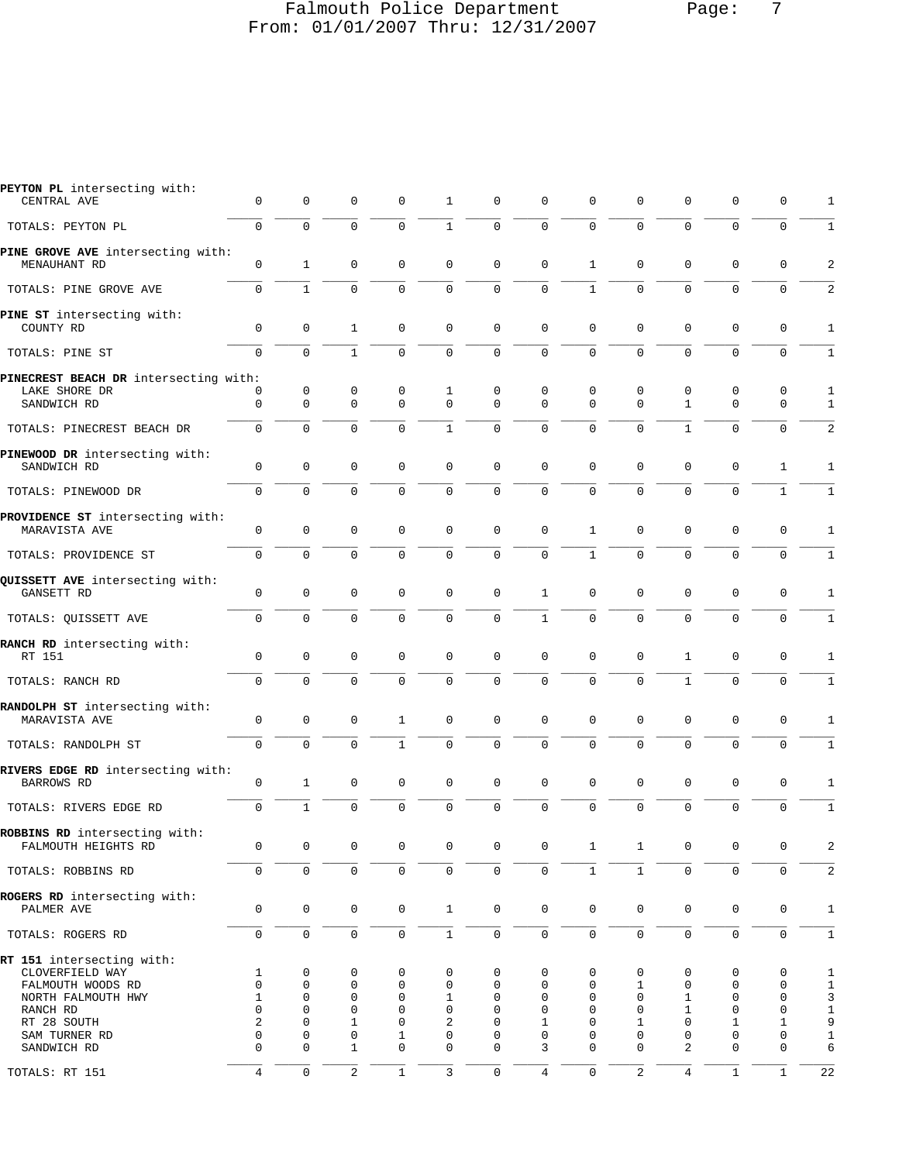### Falmouth Police Department Page: 7 From: 01/01/2007 Thru: 12/31/2007

| PEYTON PL intersecting with:                         |                     |              |                     |              |                     |                     |                     |              |                |                     |                     |                     |                |
|------------------------------------------------------|---------------------|--------------|---------------------|--------------|---------------------|---------------------|---------------------|--------------|----------------|---------------------|---------------------|---------------------|----------------|
| CENTRAL AVE                                          | 0                   | $\mathbf 0$  | 0                   | 0            | 1                   | 0                   | $\mathbf 0$         | 0            | 0              | 0                   | 0                   | 0                   | 1              |
| TOTALS: PEYTON PL                                    | $\mathbf 0$         | $\mathbf 0$  | $\mathbf 0$         | $\mathbf 0$  | $\mathbf{1}$        | $\mathsf 0$         | $\mathbf 0$         | 0            | $\mathbf 0$    | $\mathbf 0$         | $\mathsf 0$         | $\mathbf 0$         | $\mathbf{1}$   |
| PINE GROVE AVE intersecting with:                    |                     |              |                     |              |                     |                     |                     |              |                |                     |                     |                     |                |
| MENAUHANT RD                                         | $\mathbf 0$         | $\mathbf{1}$ | $\mathbf 0$         | $\mathbf 0$  | $\mathbf 0$         | $\mathbf 0$         | $\mathbf{0}$        | 1            | $\mathbf 0$    | $\mathbf 0$         | $\mathbf 0$         | $\mathbf 0$         | 2              |
| TOTALS: PINE GROVE AVE                               | $\mathbf 0$         | $\mathbf{1}$ | $\mathbf 0$         | $\mathbf 0$  | 0                   | $\mathbf 0$         | 0                   | $\mathbf{1}$ | $\mathbf 0$    | $\Omega$            | $\Omega$            | $\mathbf 0$         | 2              |
| PINE ST intersecting with:                           |                     |              |                     |              |                     |                     |                     |              |                |                     |                     |                     |                |
| COUNTY RD                                            | 0                   | $\mathbf 0$  | 1                   | $\mathbf 0$  | $\mathbf 0$         | $\mathbf 0$         | $\mathbf 0$         | 0            | 0              | $\mathbf 0$         | $\mathbf 0$         | 0                   | 1              |
| TOTALS: PINE ST                                      | $\mathbf 0$         | $\mathbf 0$  | $\mathbf{1}$        | $\mathbf 0$  | $\mathbf 0$         | $\mathbf 0$         | $\mathbf{0}$        | $\Omega$     | $\mathbf 0$    | $\Omega$            | $\mathbf 0$         | $\mathbf 0$         | $1\,$          |
| PINECREST BEACH DR intersecting with:                |                     |              |                     |              |                     |                     |                     |              |                |                     |                     |                     |                |
| LAKE SHORE DR                                        | 0                   | 0            | 0                   | 0            | 1                   | 0                   | 0                   | 0            | 0              | 0                   | 0                   | 0                   | 1              |
| SANDWICH RD                                          | $\mathbf 0$         | $\mathbf 0$  | $\mathbf 0$         | $\mathbf 0$  | $\mathbf 0$         | $\Omega$            | $\Omega$            | $\Omega$     | $\mathbf 0$    | $\mathbf{1}$        | $\mathbf 0$         | $\mathbf 0$         | 1              |
| TOTALS: PINECREST BEACH DR                           | $\mathbf 0$         | $\Omega$     | $\Omega$            | $\Omega$     | $\mathbf{1}$        | $\mathbf 0$         | $\mathbf{0}$        | $\Omega$     | $\Omega$       | $\mathbf{1}$        | $\Omega$            | $\Omega$            | 2              |
| PINEWOOD DR intersecting with:                       |                     |              |                     |              |                     |                     |                     |              |                |                     |                     |                     |                |
| SANDWICH RD                                          | $\mathbf 0$         | $\mathbf 0$  | $\mathbf 0$         | $\mathbf 0$  | $\mathbf 0$         | $\mathbf 0$         | $\mathbf{0}$        | $\mathbf 0$  | 0              | 0                   | $\mathbf 0$         | 1                   | 1              |
| TOTALS: PINEWOOD DR                                  | $\mathbf 0$         | $\mathbf 0$  | $\mathbf 0$         | $\mathbf 0$  | 0                   | $\mathbf 0$         | $\mathbf{0}$        | $\Omega$     | $\mathbf 0$    | $\mathbf 0$         | $\mathbf 0$         | $\mathbf{1}$        | $1\,$          |
|                                                      |                     |              |                     |              |                     |                     |                     |              |                |                     |                     |                     |                |
| PROVIDENCE ST intersecting with:<br>MARAVISTA AVE    | $\mathbf 0$         | $\mathbf 0$  | 0                   | $\mathbf 0$  | $\mathbf 0$         | $\mathbf 0$         | $\mathbf 0$         | 1            | 0              | $\mathbf 0$         | $\mathbf 0$         | $\mathbf 0$         | 1              |
| TOTALS: PROVIDENCE ST                                | $\mathbf 0$         | $\mathbf 0$  | $\mathbf 0$         | $\mathbf 0$  | 0                   | $\mathbf 0$         | $\mathbf 0$         | $\mathbf{1}$ | $\mathbf 0$    | $\mathbf 0$         | 0                   | $\mathbf 0$         | $1\,$          |
|                                                      |                     |              |                     |              |                     |                     |                     |              |                |                     |                     |                     |                |
| QUISSETT AVE intersecting with:<br>GANSETT RD        | 0                   | $\mathbf 0$  | 0                   | $\mathbf 0$  | $\mathbf 0$         | $\mathbf 0$         | 1                   | $\mathbf 0$  | $\mathbf 0$    | $\mathbf 0$         | $\mathbf 0$         | 0                   | 1              |
| TOTALS: QUISSETT AVE                                 | $\mathbf 0$         | $\mathbf 0$  | $\mathbf 0$         | $\mathbf 0$  | $\mathbf 0$         | $\mathbf 0$         | $\mathbf{1}$        | $\mathbf{0}$ | $\mathbf 0$    | 0                   | $\mathbf 0$         | 0                   | 1              |
|                                                      |                     |              |                     |              |                     |                     |                     |              |                |                     |                     |                     |                |
| RANCH RD intersecting with:<br>RT 151                | $\mathbf{0}$        | $\mathbf 0$  | $\mathbf 0$         | $\mathbf 0$  | 0                   | $\mathbf 0$         | $\mathbf 0$         | $\mathbf 0$  | 0              | $\mathbf{1}$        | $\mathbf 0$         | $\mathbf 0$         | 1              |
| TOTALS: RANCH RD                                     | $\mathbf 0$         | $\mathbf 0$  | $\mathbf 0$         | $\mathbf 0$  | $\mathbf 0$         | $\mathsf 0$         | $\mathbf 0$         | 0            | $\mathbf 0$    | $\mathbf{1}$        | $\mathbf 0$         | $\mathbf 0$         | $1\,$          |
| RANDOLPH ST intersecting with:                       |                     |              |                     |              |                     |                     |                     |              |                |                     |                     |                     |                |
| MARAVISTA AVE                                        | 0                   | 0            | 0                   | 1            | 0                   | $\mathbf 0$         | $\mathbf 0$         | 0            | 0              | 0                   | 0                   | 0                   | 1              |
| TOTALS: RANDOLPH ST                                  | $\Omega$            | $\Omega$     | $\mathbf 0$         | $\mathbf{1}$ | 0                   | $\Omega$            | $\Omega$            | $\Omega$     | $\Omega$       | $\Omega$            | 0                   | $\Omega$            | $\mathbf{1}$   |
|                                                      |                     |              |                     |              |                     |                     |                     |              |                |                     |                     |                     |                |
| RIVERS EDGE RD intersecting with:<br>BARROWS RD      | $\mathbb O$         | $\mathbf{1}$ | 0                   | 0            | 0                   | $\mathbf 0$         | 0                   | 0            | 0              | 0                   | 0                   | 0                   | 1              |
| TOTALS: RIVERS EDGE RD                               | $\mathbf 0$         | $\mathbf{1}$ | $\mathbf 0$         | $\mathbf 0$  | 0                   | $\mathbf 0$         | $\mathbf{0}$        | 0            | $\mathbf 0$    | $\mathbf 0$         | $\mathbf 0$         | $\mathbf 0$         | $\mathbf 1$    |
|                                                      |                     |              |                     |              |                     |                     |                     |              |                |                     |                     |                     |                |
| ROBBINS RD intersecting with:<br>FALMOUTH HEIGHTS RD | $\mathbf 0$         | $\mathbf 0$  | $\mathbf 0$         | $\mathbf 0$  | $\mathbf 0$         | $\mathbf 0$         | $\mathbf 0$         | $\mathbf{1}$ | $\mathbf{1}$   | $\mathbf 0$         | $\mathbf 0$         | $\mathbf 0$         | 2              |
| TOTALS: ROBBINS RD                                   | $\mathsf{O}\xspace$ | $\mathbf 0$  | $\mathsf{O}\xspace$ | $\mathbf 0$  | $\mathsf{O}\xspace$ | $\mathsf{O}\xspace$ | $\mathsf{O}\xspace$ | $\mathbf{1}$ | $\mathbf{1}$   | $\mathsf{O}\xspace$ | $\mathsf 0$         | $\mathsf{O}\xspace$ | $\overline{c}$ |
|                                                      |                     |              |                     |              |                     |                     |                     |              |                |                     |                     |                     |                |
| ROGERS RD intersecting with:<br>PALMER AVE           | $\mathbf 0$         | $\mathbf 0$  | $\mathbf 0$         | $\mathbf 0$  | $\mathbf{1}$        | $\mathbf 0$         | $\mathbf 0$         | $\mathbf 0$  | $\mathbf 0$    | $\mathbf 0$         | $\mathbf 0$         | $\mathbf 0$         | $\mathbf{1}$   |
| TOTALS: ROGERS RD                                    | $\mathsf{O}\xspace$ | $\mathbf 0$  | $\mathbf 0$         | $\mathbf 0$  | $1\,$               | $\mathsf{O}\xspace$ | $\mathsf{O}\xspace$ | $\mathbf 0$  | $\mathbf 0$    | $\mathbf 0$         | $\mathsf{O}\xspace$ | $\mathbf 0$         | $1\,$          |
|                                                      |                     |              |                     |              |                     |                     |                     |              |                |                     |                     |                     |                |
| RT 151 intersecting with:<br>CLOVERFIELD WAY         | $\mathbf{1}$        | 0            | 0                   | 0            | 0                   | 0                   | 0                   | 0            | 0              | 0                   | 0                   | 0                   | 1              |
| FALMOUTH WOODS RD                                    | $\mathbf{0}$        | 0            | $\mathbf 0$         | $\mathbf 0$  | $\mathbf 0$         | 0                   | $\mathbf 0$         | $\mathbf 0$  | 1              | 0                   | $\mathbf 0$         | $\mathbf 0$         | $\mathbf{1}$   |
| NORTH FALMOUTH HWY                                   | $\mathbf{1}$        | 0            | $\mathbf 0$         | $\mathbf 0$  | $\mathbf{1}$        | 0                   | $\mathbf 0$         | 0            | $\mathbf 0$    | $\mathbf{1}$        | $\mathbf 0$         | $\mathbf 0$         | 3              |
| RANCH RD                                             | $\mathbf 0$         | 0            | $\mathbf 0$         | $\mathbf{0}$ | $\mathbf 0$         | 0                   | $\mathbf 0$         | $\Omega$     | $\Omega$       | 1                   | $\mathbf 0$         | $\mathbf 0$         | $\mathbf 1$    |
| RT 28 SOUTH                                          | $\overline{2}$      | $\Omega$     | $\mathbf 1$         | $\mathbf 0$  | $\overline{c}$      | $\Omega$            | $\mathbf{1}$        | $\Omega$     | $\mathbf{1}$   | $\Omega$            | 1                   | $\mathbf{1}$        | 9              |
| SAM TURNER RD                                        | $\mathbf 0$         | 0            | $\mathbf 0$         | 1            | $\mathbf 0$         | $\mathbf 0$         | $\mathbf 0$         | $\Omega$     | $\mathbf 0$    | $\mathbf 0$         | $\mathbf 0$         | $\mathbf 0$         | $\mathbf 1$    |
| SANDWICH RD                                          | 0                   | 0            | $\mathbf{1}$        | $\mathbf 0$  | $\mathbf 0$         | 0                   | 3                   | $\Omega$     | $\Omega$       | 2                   | $\mathbf 0$         | $\mathbf 0$         | 6              |
| TOTALS: RT 151                                       | $\overline{4}$      | $\mathbf 0$  | 2                   | $\mathbf{1}$ | 3                   | $\mathsf{O}\xspace$ | $\overline{4}$      | $\mathbf 0$  | $\overline{a}$ | $\overline{4}$      | $\mathbf{1}$        | $\mathbf{1}$        | 22             |
|                                                      |                     |              |                     |              |                     |                     |                     |              |                |                     |                     |                     |                |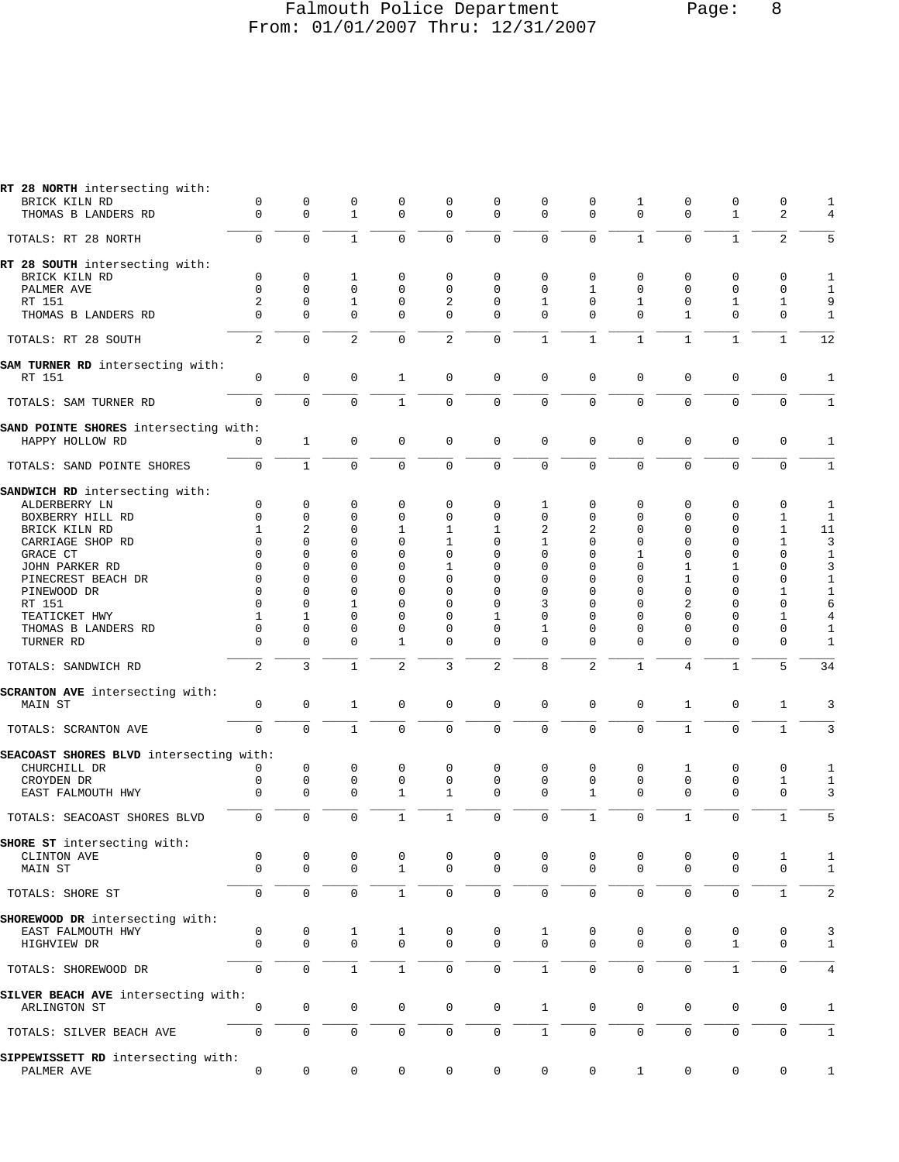#### Falmouth Police Department Page: 8 From: 01/01/2007 Thru: 12/31/2007

| RT 28 NORTH intersecting with:                           |                            |                  |                     |                      |                     |                     |                          |                      |                          |                  |                   |                     |              |
|----------------------------------------------------------|----------------------------|------------------|---------------------|----------------------|---------------------|---------------------|--------------------------|----------------------|--------------------------|------------------|-------------------|---------------------|--------------|
| BRICK KILN RD                                            | 0<br>$\Omega$              | 0<br>$\Omega$    | 0<br>$\mathbf{1}$   | 0<br>$\Omega$        | 0<br>$\mathbf 0$    | 0<br>$\mathbf 0$    | 0<br>$\Omega$            | 0<br>$\Omega$        | 1<br>$\Omega$            | 0<br>$\Omega$    | 0<br>$\mathbf{1}$ | 0<br>$\overline{a}$ | 1            |
| THOMAS B LANDERS RD                                      |                            |                  |                     |                      |                     |                     |                          |                      |                          |                  |                   |                     | 4            |
| TOTALS: RT 28 NORTH                                      | 0                          | $\Omega$         | $\mathbf 1$         | $\Omega$             | $\mathbf 0$         | $\mathbf 0$         | $\mathbf 0$              | $\Omega$             | $\mathbf{1}$             | $\mathbf 0$      | $\mathbf{1}$      | $\overline{2}$      | 5            |
| RT 28 SOUTH intersecting with:                           |                            |                  |                     |                      |                     |                     |                          |                      |                          |                  |                   |                     |              |
| BRICK KILN RD                                            | 0                          | 0                | 1                   | 0                    | $\mathbf 0$         | $\mathbf 0$         | $\mathbf 0$              | 0                    | 0                        | 0                | 0                 | 0                   | 1            |
| PALMER AVE                                               | $\Omega$                   | $\Omega$         | $\mathbf 0$         | $\Omega$             | $\Omega$            | $\Omega$            | $\Omega$                 | $\mathbf{1}$         | $\Omega$                 | 0                | $\Omega$          | $\mathbf 0$         | $\mathbf{1}$ |
| RT 151                                                   | $\overline{a}$<br>$\Omega$ | $\Omega$         | $\mathbf{1}$        | $\Omega$<br>$\Omega$ | 2                   | 0                   | $\mathbf{1}$<br>$\Omega$ | $\Omega$<br>$\Omega$ | $\mathbf{1}$<br>$\Omega$ | $\mathbf 0$      | $\mathbf{1}$      | $\mathbf{1}$        | 9            |
| THOMAS B LANDERS RD                                      |                            | $\Omega$         | $\Omega$            |                      | $\mathbf 0$         | $\Omega$            |                          |                      |                          | $\mathbf{1}$     | $\Omega$          | $\mathbf 0$         | 1            |
| TOTALS: RT 28 SOUTH                                      | $\overline{a}$             | $\mathbf 0$      | $\overline{2}$      | $\Omega$             | 2                   | $\mathbf 0$         | $\mathbf{1}$             | $\mathbf{1}$         | $\mathbf{1}$             | $\mathbf{1}$     | $\mathbf{1}$      | $\mathbf{1}$        | 12           |
| SAM TURNER RD intersecting with:<br>RT 151               | 0                          | $\mathbf 0$      | 0                   | $\mathbf 1$          | $\mathbf 0$         | $\mathbf 0$         | $\mathbf 0$              | 0                    | $\mathbf 0$              | $\mathbf 0$      | $\mathbf 0$       | $\mathbf 0$         | $\mathbf{1}$ |
|                                                          |                            |                  |                     |                      |                     |                     |                          |                      |                          |                  |                   |                     |              |
| TOTALS: SAM TURNER RD                                    | 0                          | $\mathbf 0$      | $\mathbf 0$         | $\mathbf{1}$         | $\mathbf 0$         | $\mathbf 0$         | $\mathbf 0$              | $\Omega$             | $\Omega$                 | $\mathbf 0$      | $\Omega$          | $\mathbf 0$         | 1            |
| SAND POINTE SHORES intersecting with:<br>HAPPY HOLLOW RD | $\Omega$                   | $\mathbf{1}$     | 0                   | $\Omega$             | $\mathbf 0$         | $\mathbf 0$         | $\mathbf 0$              | $\Omega$             | $\Omega$                 | $\mathbf 0$      | $\Omega$          | $\mathbf 0$         | $\mathbf{1}$ |
| TOTALS: SAND POINTE SHORES                               | $\mathbf 0$                | $\mathbf{1}$     | $\mathbf 0$         | $\Omega$             | $\mathbf 0$         | $\mathsf 0$         | $\mathbf 0$              | $\mathbf 0$          | $\mathbf 0$              | $\mathsf 0$      | $\mathbf 0$       | $\mathbf 0$         | $\mathbf{1}$ |
| SANDWICH RD intersecting with:                           |                            |                  |                     |                      |                     |                     |                          |                      |                          |                  |                   |                     |              |
| ALDERBERRY LN                                            | 0                          | 0                | 0                   | $\mathbf 0$          | $\mathbf 0$         | $\mathbf 0$         | 1                        | 0                    | 0                        | $\mathbf 0$      | 0                 | 0                   | 1            |
| BOXBERRY HILL RD                                         | $\Omega$                   | $\Omega$         | $\Omega$            | $\Omega$             | $\Omega$            | $\Omega$            | $\Omega$                 | $\Omega$             | $\Omega$                 | 0                | $\Omega$          | 1                   | 1            |
| BRICK KILN RD                                            | 1                          | 2                | $\Omega$            | 1                    | 1                   | 1                   | 2                        | $\overline{2}$       | $\Omega$                 | $\Omega$         | $\Omega$          | $\mathbf{1}$        | 11           |
| CARRIAGE SHOP RD                                         | $\Omega$                   | $\Omega$         | $\Omega$            | $\Omega$             | $\mathbf{1}$        | 0                   | $\mathbf{1}$             | $\Omega$             | $\Omega$                 | $\Omega$         | $\Omega$          | $\mathbf{1}$        | 3            |
| GRACE CT                                                 | $\Omega$                   | $\Omega$         | $\Omega$            | $\Omega$             | $\Omega$            | 0                   | $\Omega$                 | $\Omega$             | 1                        | 0                | $\Omega$          | $\mathbf 0$         | $\mathbf{1}$ |
| JOHN PARKER RD                                           | $\Omega$                   | $\Omega$         | $\Omega$            | $\Omega$             | $\mathbf{1}$        | $\Omega$            | $\Omega$                 | $\Omega$             | $\Omega$                 | $\mathbf{1}$     | $\mathbf{1}$      | $\mathbf 0$         | $\mathbf{3}$ |
| PINECREST BEACH DR                                       | $\Omega$                   | $\Omega$         | $\Omega$            | $\Omega$             | $\Omega$            | 0                   | $\Omega$                 | $\Omega$             | $\Omega$                 | $\mathbf{1}$     | $\Omega$          | $\mathbf 0$         | $\mathbf{1}$ |
| PINEWOOD DR                                              | $\Omega$                   | 0                | $\Omega$            | $\Omega$             | $\Omega$            | $\Omega$            | $\Omega$                 | $\Omega$             | $\Omega$                 | $\Omega$         | $\Omega$          | 1                   | $\mathbf{1}$ |
| RT 151                                                   | $\Omega$                   | 0                | $\mathbf{1}$        | $\Omega$             | $\Omega$            | $\Omega$            | 3                        | $\Omega$             | $\Omega$                 | $\overline{2}$   | $\Omega$          | $\mathbf 0$         | 6            |
| TEATICKET HWY                                            | $\mathbf{1}$               | $\mathbf{1}$     | $\Omega$            | $\Omega$             | $\Omega$            | 1                   | $\Omega$                 | $\Omega$             | $\Omega$                 | $\Omega$         | $\Omega$          | $\mathbf{1}$        | 4            |
| THOMAS B LANDERS RD                                      | $\Omega$                   | $\Omega$         | $\Omega$            | 0                    | $\mathbf 0$         | 0                   | 1                        | $\Omega$             | $\Omega$                 | $\Omega$         | $\Omega$          | 0                   | 1            |
| TURNER RD                                                | $\Omega$                   | $\Omega$         | $\Omega$            | $\mathbf{1}$         | $\Omega$            | $\Omega$            | $\Omega$                 | $\Omega$             | $\Omega$                 | $\Omega$         | $\Omega$          | $\mathbf 0$         | $\mathbf{1}$ |
| TOTALS: SANDWICH RD                                      | $\overline{a}$             | 3                | $\mathbf{1}$        | $\overline{2}$       | 3                   | 2                   | 8                        | 2                    | $\mathbf{1}$             | 4                | $\mathbf{1}$      | 5                   | 34           |
| <b>SCRANTON AVE</b> intersecting with:                   |                            |                  |                     |                      |                     |                     |                          |                      |                          |                  |                   |                     |              |
| MAIN ST                                                  | $\mathbf 0$                | 0                | $\mathbf{1}$        | $\Omega$             | $\mathbf 0$         | $\mathbf 0$         | $\mathbf 0$              | $\mathbf{0}$         | $\mathbf 0$              | $\mathbf{1}$     | $\mathbf 0$       | $\mathbf{1}$        | 3            |
| TOTALS: SCRANTON AVE                                     | $\Omega$                   | $\Omega$         | $\mathbf{1}$        | $\Omega$             | $\mathbf 0$         | $\mathbf 0$         | $\mathbf 0$              | $\Omega$             | $\Omega$                 | $\mathbf{1}$     | $\mathbf 0$       | $\mathbf{1}$        | 3            |
| SEACOAST SHORES BLVD intersecting with:                  |                            |                  |                     |                      |                     |                     |                          |                      |                          |                  |                   |                     |              |
| CHURCHILL DR                                             | 0                          | $\mathbf 0$      | 0                   | $\mathbf 0$          | $\mathbf 0$         | $\mathbf 0$         | $\mathbf 0$              | 0                    | $\mathbf 0$              | 1                | 0                 | 0                   | 1            |
| CROYDEN DR                                               | $\mathbf 0$                | 0                | 0                   | $\mathbf 0$          | $\mathbf 0$         | 0                   | $\mathbf 0$              | $\mathbf 0$          | $\mathbf 0$              | 0                | 0                 | $\mathbf{1}$        | 1            |
| EAST FALMOUTH HWY                                        | $\Omega$                   | $\Omega$         | $\Omega$            | $\mathbf{1}$         | $\mathbf{1}$        | $\mathbf 0$         | $\Omega$                 | $\mathbf{1}$         | $\Omega$                 | $\Omega$         | $\Omega$          | $\mathbf 0$         | 3            |
| TOTALS: SEACOAST SHORES BLVD                             | $\Omega$                   | $\Omega$         | $\Omega$            | $\mathbf{1}$         | $\mathbf{1}$        | $\Omega$            | $\Omega$                 | $\mathbf{1}$         | $\Omega$                 | $\mathbf{1}$     | $\Omega$          | $\mathbf{1}$        | 5            |
| SHORE ST intersecting with:                              |                            |                  |                     |                      |                     |                     |                          |                      |                          |                  |                   |                     |              |
| CLINTON AVE<br>MAIN ST                                   | 0<br>$\Omega$              | 0<br>$\mathbf 0$ | 0<br>$\mathbf 0$    | 0<br>$\mathbf{1}$    | 0<br>$\mathbf 0$    | 0<br>$\mathbf 0$    | 0<br>$\mathbf 0$         | 0<br>$\Omega$        | 0<br>$\mathbf 0$         | 0<br>$\mathbf 0$ | 0<br>$\mathbf 0$  | 1<br>$\mathbf 0$    | 1<br>1       |
| TOTALS: SHORE ST                                         | $\mathbf 0$                | $\mathbf 0$      | 0                   | $\mathbf{1}$         | $\mathbf 0$         | $\mathbf 0$         | 0                        | 0                    | $\mathsf{O}\xspace$      | $\mathbf 0$      | $\mathbf 0$       | $\mathbf{1}$        | 2            |
|                                                          |                            |                  |                     |                      |                     |                     |                          |                      |                          |                  |                   |                     |              |
| SHOREWOOD DR intersecting with:<br>EAST FALMOUTH HWY     | 0                          | 0                | 1                   | 1                    | 0                   | 0                   | 1                        | 0                    | 0                        | 0                | $\mathbf 0$       | 0                   | 3            |
| HIGHVIEW DR                                              | $\mathbf 0$                | 0                | $\mathbf 0$         | $\mathbf 0$          | $\mathsf 0$         | $\mathbf 0$         | $\mathbf 0$              | $\mathbf 0$          | $\mathbf 0$              | $\mathbf 0$      | $\mathbf{1}$      | $\mathbf 0$         | 1            |
|                                                          |                            |                  |                     |                      |                     |                     |                          |                      |                          |                  |                   |                     |              |
| TOTALS: SHOREWOOD DR                                     | 0                          | $\mathbf 0$      | $\mathbf 1$         | $\mathbf{1}$         | $\mathsf{O}\xspace$ | $\mathsf{O}\xspace$ | $\mathbf{1}$             | $\Omega$             | $\mathbf 0$              | $\mathsf 0$      | $\mathbf{1}$      | $\mathbf 0$         | 4            |
| SILVER BEACH AVE intersecting with:<br>ARLINGTON ST      | 0                          | $\mathbf 0$      | 0                   | 0                    | 0                   | $\mathsf{O}\xspace$ | $\mathbf{1}$             | $\mathbf 0$          | 0                        | $\mathsf{O}$     | $\mathbf 0$       | $\mathsf 0$         | 1            |
|                                                          |                            |                  |                     |                      |                     |                     |                          |                      |                          |                  |                   |                     |              |
| TOTALS: SILVER BEACH AVE                                 | $\mathsf{O}\xspace$        | $\mathsf{O}$     | $\mathsf 0$         | 0                    | $\mathsf{O}$        | $\mathsf{O}\xspace$ | $1\,$                    | 0                    | $\mathsf{O}$             | $\mathsf 0$      | $\mathbf 0$       | $\mathsf{O}\xspace$ | $\mathbf{1}$ |
| SIPPEWISSETT RD intersecting with:<br>PALMER AVE         | 0                          | $\mathsf{O}$     | $\mathsf{O}\xspace$ | $\mathsf{O}$         | 0                   | $\mathsf{O}\xspace$ | 0                        | $\overline{0}$       | $\mathbf{1}$             | 0                | $\mathbf 0$       | $\mathsf{O}$        | $\mathbf{1}$ |
|                                                          |                            |                  |                     |                      |                     |                     |                          |                      |                          |                  |                   |                     |              |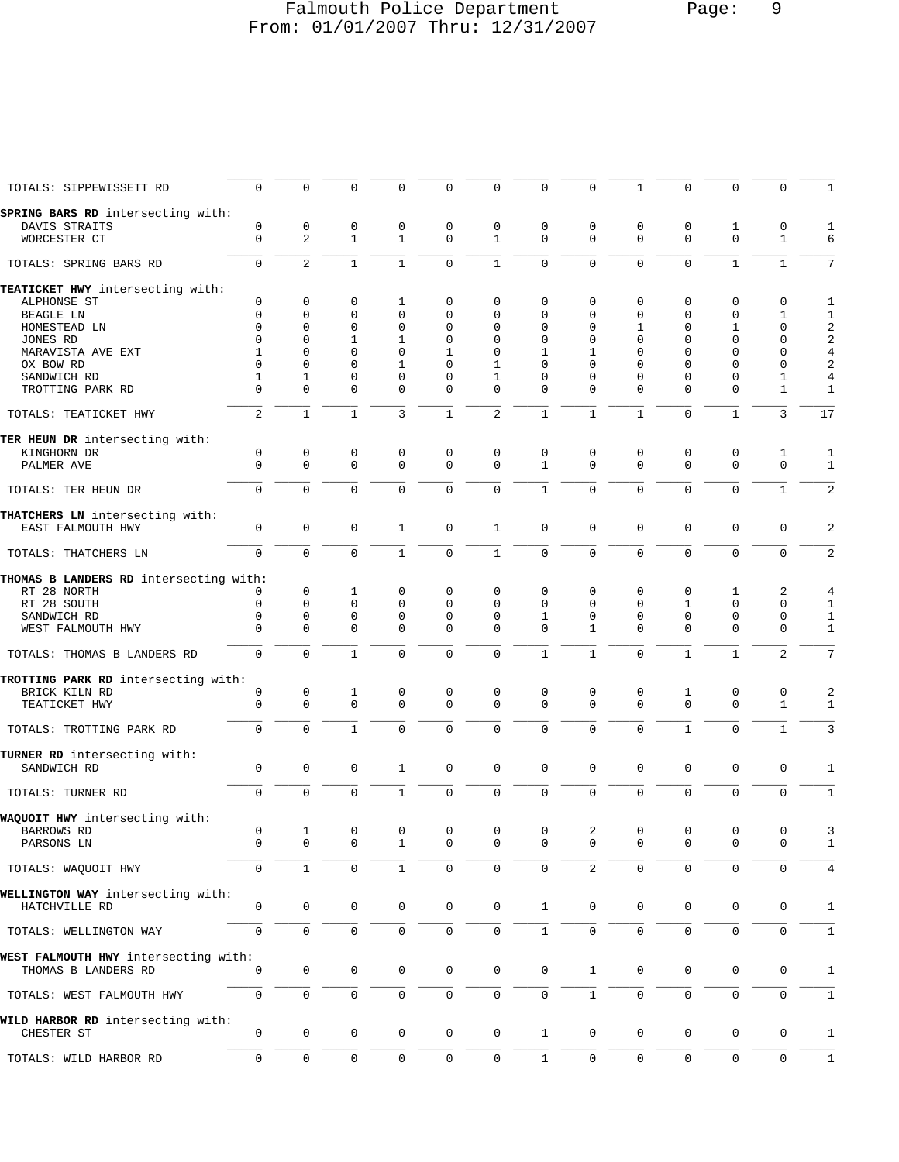# Falmouth Police Department Page: 9 From: 01/01/2007 Thru: 12/31/2007

| TOTALS: SIPPEWISSETT RD                                     | 0                   | $\mathbf 0$         | 0                   | 0                   | 0                   | $\mathbf 0$      | 0                | $\mathbf 0$    | $\mathbf{1}$     | $\Omega$                | $\Omega$                   | $\mathbf 0$         |                         |
|-------------------------------------------------------------|---------------------|---------------------|---------------------|---------------------|---------------------|------------------|------------------|----------------|------------------|-------------------------|----------------------------|---------------------|-------------------------|
| SPRING BARS RD intersecting with:<br>DAVIS STRAITS          | 0                   | 0                   | 0                   | 0                   | 0                   | 0                | 0                | 0              | 0                | 0                       | 1                          | 0                   | 1                       |
| WORCESTER CT                                                | $\mathbf 0$         | 2                   | $\mathbf{1}$        | $\mathbf{1}$        | $\mathbf 0$         | $\mathbf{1}$     | $\mathbf 0$      | 0              | $\mathbf 0$      | $\mathbf 0$             | $\mathbf 0$                | $\mathbf{1}$        | 6                       |
|                                                             |                     |                     |                     |                     |                     |                  |                  |                |                  |                         |                            |                     |                         |
| TOTALS: SPRING BARS RD                                      | 0                   | $\overline{2}$      | $1\,$               | $\mathbf{1}$        | $\mathbf 0$         | $\mathbf{1}$     | $\mathbf 0$      | $\mathbf 0$    | $\mathbf 0$      | $\mathbf 0$             | $\mathbf{1}$               | $\mathbf{1}$        | 7                       |
| TEATICKET HWY intersecting with:                            |                     |                     |                     |                     |                     |                  |                  |                |                  |                         |                            |                     |                         |
| ALPHONSE ST<br>BEAGLE LN                                    | 0<br>0              | 0<br>0              | 0<br>$\Omega$       | 1<br>0              | 0<br>$\mathbf 0$    | 0<br>0           | 0<br>0           | 0<br>$\Omega$  | 0<br>0           | $\mathbf 0$<br>$\Omega$ | $\mathbf 0$<br>$\mathbf 0$ | 0<br>1              | 1<br>1                  |
| HOMESTEAD LN                                                | $\Omega$            | $\Omega$            | $\Omega$            | $\mathbf 0$         | $\mathbf 0$         | 0                | 0                | 0              | 1                | $\mathbf 0$             | 1                          | $\mathbf 0$         | $\overline{\mathbf{c}}$ |
| JONES RD                                                    | $\Omega$            | 0                   | 1                   | 1                   | $\mathbf 0$         | 0                | 0                | 0              | 0                | $\mathbf 0$             | $\Omega$                   | $\mathbf 0$         | $\overline{a}$          |
| MARAVISTA AVE EXT                                           | 1                   | $\Omega$            | $\Omega$            | $\Omega$            | 1                   | $\Omega$         | 1                | 1              | 0                | $\Omega$                | $\Omega$                   | $\mathbf 0$         | $\overline{4}$          |
| OX BOW RD                                                   | $\Omega$            | $\Omega$            | $\Omega$            | 1                   | $\Omega$            | 1                | $\Omega$         | $\Omega$       | $\Omega$         | $\Omega$                | $\Omega$                   | 0                   | $\overline{2}$          |
| SANDWICH RD                                                 | 1                   | 1                   | 0                   | $\mathbf 0$         | $\mathbf 0$         | 1                | 0                | 0              | 0                | 0                       | $\mathbf 0$                | 1                   | $\overline{4}$          |
| TROTTING PARK RD                                            | $\Omega$            | 0                   | $\Omega$            | $\mathbf 0$         | $\mathbf 0$         | 0                | 0                | 0              | 0                | $\Omega$                | 0                          | 1                   | $\mathbf{1}$            |
| TOTALS: TEATICKET HWY                                       | 2                   | $\mathbf{1}$        | $\mathbf{1}$        | 3                   | $\mathbf{1}$        | $\overline{2}$   | $\mathbf{1}$     | $\mathbf{1}$   | $\mathbf{1}$     | $\mathbf{0}$            | $\mathbf 1$                | 3                   | 17                      |
| TER HEUN DR intersecting with:                              |                     |                     |                     |                     |                     |                  |                  |                |                  |                         |                            |                     |                         |
| KINGHORN DR                                                 | $\mathsf 0$         | 0                   | 0                   | 0                   | 0                   | 0                | 0                | 0              | 0                | 0                       | 0                          | 1                   | 1                       |
| PALMER AVE                                                  | $\Omega$            | $\mathbf 0$         | $\mathbf 0$         | $\mathbf 0$         | $\mathbf 0$         | $\mathbf 0$      | $\mathbf{1}$     | $\Omega$       | $\mathbf 0$      | $\mathbf{0}$            | $\mathbf 0$                | $\mathbf 0$         | 1                       |
| TOTALS: TER HEUN DR                                         | $\mathbf 0$         | $\mathbf 0$         | $\mathbf 0$         | $\mathbf 0$         | $\mathbf 0$         | $\mathsf 0$      | $\mathbf{1}$     | $\mathbf 0$    | $\mathbf 0$      | $\mathbf 0$             | $\mathbf 0$                | $\mathbf{1}$        | $\overline{a}$          |
| THATCHERS LN intersecting with:<br>EAST FALMOUTH HWY        | 0                   | $\mathsf 0$         | 0                   | 1                   | $\mathbf 0$         | $\mathbf{1}$     | $\mathbf 0$      | 0              | $\mathsf 0$      | $\mathbf{0}$            | $\mathsf 0$                | $\mathbf 0$         | 2                       |
| TOTALS: THATCHERS LN                                        | $\mathbf 0$         | $\mathbf 0$         | $\mathbf 0$         | $\mathbf{1}$        | $\mathbf 0$         | $\mathbf{1}$     | $\mathbf 0$      | $\Omega$       | $\mathbf 0$      | $\mathbf 0$             | $\mathbf 0$                | $\mathbf 0$         | $\overline{2}$          |
| THOMAS B LANDERS RD intersecting with:                      |                     |                     |                     |                     |                     |                  |                  |                |                  |                         |                            |                     |                         |
| RT 28 NORTH                                                 | 0                   | $\mathbf 0$         | 1                   | 0                   | 0                   | 0                | 0                | 0              | 0                | 0                       | 1                          | 2                   | 4                       |
| RT 28 SOUTH                                                 | 0                   | $\mathbf 0$         | $\mathbf 0$         | $\mathbf 0$         | $\mathbf 0$         | $\mathbf 0$      | $\Omega$         | 0              | 0                | 1                       | $\mathbf 0$                | $\mathbf 0$         | 1                       |
| SANDWICH RD                                                 | 0                   | 0                   | 0                   | $\mathbf 0$         | $\mathbf 0$         | 0                | 1                | 0              | 0                | $\mathbf 0$             | $\mathbf 0$                | $\mathbf 0$         | 1                       |
| WEST FALMOUTH HWY                                           | $\Omega$            | 0                   | $\Omega$            | $\Omega$            | $\Omega$            | 0                | $\Omega$         | 1              | 0                | $\Omega$                | $\mathbf 0$                | $\mathbf 0$         | 1                       |
| TOTALS: THOMAS B LANDERS RD                                 | $\mathbf 0$         | $\mathbf 0$         | $\mathbf{1}$        | $\mathbf 0$         | $\mathbf 0$         | $\mathbf 0$      | $\mathbf{1}$     | $\mathbf{1}$   | $\mathbf 0$      | $\mathbf{1}$            | 1                          | 2                   | 7                       |
| TROTTING PARK RD intersecting with:                         |                     |                     |                     |                     |                     |                  |                  |                |                  |                         |                            |                     |                         |
| BRICK KILN RD                                               | 0                   | 0<br>$\mathbf 0$    | 1<br>$\mathbf 0$    | 0<br>$\mathbf 0$    | 0<br>$\mathbf 0$    | 0<br>$\mathbf 0$ | 0<br>$\mathbf 0$ | 0<br>0         | 0<br>$\mathbf 0$ | 1<br>$\mathbf 0$        | 0<br>$\mathbf 0$           | 0                   | 2                       |
| TEATICKET HWY                                               | 0                   |                     |                     |                     |                     |                  |                  |                |                  |                         |                            | 1                   | 1                       |
| TOTALS: TROTTING PARK RD                                    | $\overline{0}$      | $\mathbf 0$         | $\mathbf{1}$        | $\Omega$            | $\mathbf 0$         | $\mathbf 0$      | $\mathbf 0$      | $\mathbf 0$    | $\mathbf 0$      | $\mathbf{1}$            | $\mathbf 0$                | $\mathbf{1}$        | 3                       |
| TURNER RD intersecting with:                                |                     |                     |                     |                     |                     |                  |                  |                |                  |                         |                            |                     |                         |
| SANDWICH RD                                                 | $\mathsf 0$         | $\mathbf 0$         | 0                   | 1                   | $\mathbf 0$         | $\mathbf 0$      | 0                | 0              | 0                | 0                       | 0                          | $\mathsf 0$         | 1                       |
| TOTALS: TURNER RD                                           | 0                   | $\mathbf 0$         | $\mathbf 0$         | $\mathbf{1}$        | $\mathbf 0$         | 0                | 0                | 0              | $\mathbf 0$      | $\mathbf 0$             | $\mathbf 0$                | $\mathbf 0$         | 1                       |
| WAQUOIT HWY intersecting with:                              |                     |                     |                     |                     |                     |                  |                  |                |                  |                         |                            |                     |                         |
| BARROWS RD                                                  | $\mathsf{O}$        | $\mathbf{1}$        | $\overline{0}$      | $\overline{0}$      | $\overline{0}$      | $\overline{0}$   | $\overline{0}$   | $\overline{a}$ | $\mathbb O$      | $\mathbf 0$             | $\mathbf 0$                | $\mathbf 0$         | 3                       |
| PARSONS LN                                                  | 0                   | 0                   | 0                   | 1                   | 0                   | 0                | 0                | 0              | 0                | $\mathbf 0$             | $\mathbf 0$                | 0                   | $\mathbf{1}$            |
| TOTALS: WAQUOIT HWY                                         | $\mathsf{O}\xspace$ | $\mathbf{1}$        | $\mathsf 0$         | $\mathbf{1}$        | $\mathbf 0$         | $\mathbf 0$      | 0                | $\overline{2}$ | 0                | $\mathsf{O}\xspace$     | $\mathsf{O}\xspace$        | $\mathsf 0$         | 4                       |
| WELLINGTON WAY intersecting with:                           |                     |                     |                     |                     |                     |                  |                  |                |                  |                         |                            |                     |                         |
| HATCHVILLE RD                                               | $\mathbf 0$         | $\mathbf 0$         | $\mathbf 0$         | 0                   | $\mathbf 0$         | $\mathbf 0$      | $\mathbf{1}$     | 0              | 0                | 0                       | 0                          | 0                   | $\mathbf{1}$            |
|                                                             |                     |                     |                     |                     |                     |                  |                  |                |                  |                         |                            |                     |                         |
| TOTALS: WELLINGTON WAY                                      | $\mathsf 0$         | $\mathsf{O}$        | $\mathsf 0$         | 0                   | $\mathsf{O}\xspace$ | $\mathsf 0$      | $\mathbf{1}$     | 0              | $\mathbf 0$      | $\mathsf{O}\xspace$     | $\mathbf 0$                | $\mathsf{O}\xspace$ | $\mathbf{1}$            |
| WEST FALMOUTH HWY intersecting with:<br>THOMAS B LANDERS RD | 0                   | $\mathsf{O}$        | $\mathbf 0$         | $\mathsf{O}\xspace$ | $\mathbb O$         | $\mathsf 0$      | $\mathbf 0$      | $\mathbf{1}$   | 0                | $\mathbf 0$             | $\mathbf 0$                | 0                   | $\mathbf{1}$            |
|                                                             |                     |                     |                     |                     |                     |                  |                  |                |                  |                         |                            |                     |                         |
| TOTALS: WEST FALMOUTH HWY                                   | 0                   | 0                   | 0                   | 0                   | $\mathbb O$         | $\mathbb O$      | 0                | $\mathbf{1}$   | 0                | $\mathsf{O}\xspace$     | 0                          | $\mathbf 0$         | 1                       |
| WILD HARBOR RD intersecting with:                           |                     |                     |                     |                     |                     |                  |                  |                |                  |                         |                            |                     |                         |
| CHESTER ST                                                  | $\mathsf 0$         | 0                   | 0                   | 0                   | $\mathbf 0$         | $\mathbf 0$      | $\mathbf{1}$     | $\mathsf{0}$   | 0                | $\mathbf 0$             | $\mathbf 0$                | 0                   | $\mathbf{1}$            |
| TOTALS: WILD HARBOR RD                                      | $\mathsf 0$         | $\mathsf{O}\xspace$ | $\mathsf{O}\xspace$ | 0                   | $\mathbb O$         | $\mathbb O$      | $1\,$            | 0              | 0                | $\mathsf{O}\xspace$     | $\mathsf{O}\xspace$        | $\mathsf{O}\xspace$ | $\mathbf{1}$            |